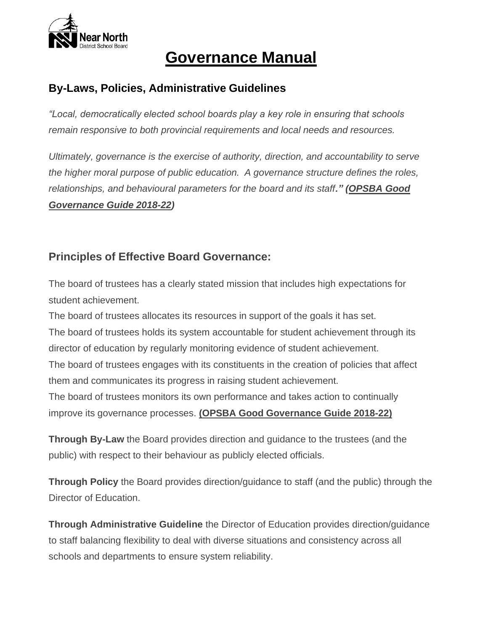

### **By-Laws, Policies, Administrative Guidelines**

*"Local, democratically elected school boards play a key role in ensuring that schools remain responsive to both provincial requirements and local needs and resources.*

*Ultimately, governance is the exercise of authority, direction, and accountability to serve the higher moral purpose of public education. A governance structure defines the roles, relationships, and behavioural parameters for the board and its staff." (OPSBA Good Governance Guide 2018-22)*

### **Principles of Effective Board Governance:**

The board of trustees has a clearly stated mission that includes high expectations for student achievement.

The board of trustees allocates its resources in support of the goals it has set. The board of trustees holds its system accountable for student achievement through its director of education by regularly monitoring evidence of student achievement. The board of trustees engages with its constituents in the creation of policies that affect them and communicates its progress in raising student achievement.

The board of trustees monitors its own performance and takes action to continually improve its governance processes. **(OPSBA Good Governance Guide 2018-22)**

**Through By-Law** the Board provides direction and guidance to the trustees (and the public) with respect to their behaviour as publicly elected officials.

**Through Policy** the Board provides direction/guidance to staff (and the public) through the Director of Education.

**Through Administrative Guideline** the Director of Education provides direction/guidance to staff balancing flexibility to deal with diverse situations and consistency across all schools and departments to ensure system reliability.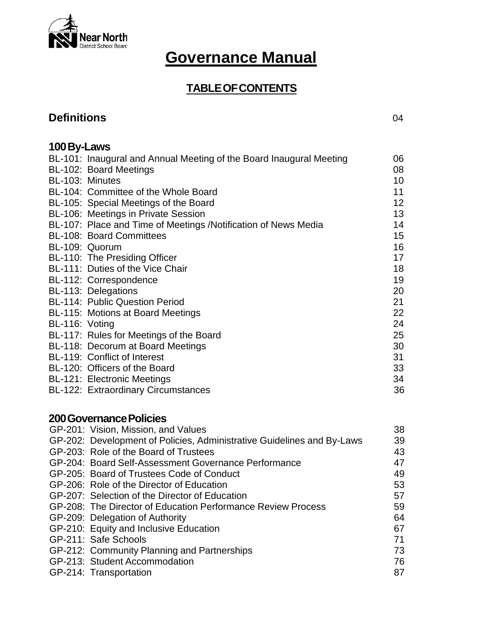

### **TABLEOFCONTENTS**

### **Definitions** 04

| 100 By-Laws                                                         |    |
|---------------------------------------------------------------------|----|
| BL-101: Inaugural and Annual Meeting of the Board Inaugural Meeting | 06 |
| BL-102: Board Meetings                                              | 08 |
| BL-103: Minutes                                                     | 10 |
| BL-104: Committee of the Whole Board                                | 11 |
| BL-105: Special Meetings of the Board                               | 12 |
| BL-106: Meetings in Private Session                                 | 13 |
| BL-107: Place and Time of Meetings /Notification of News Media      | 14 |
| <b>BL-108: Board Committees</b>                                     | 15 |
| BL-109: Quorum                                                      | 16 |
| BL-110: The Presiding Officer                                       | 17 |
| BL-111: Duties of the Vice Chair                                    | 18 |
| BL-112: Correspondence                                              | 19 |
| BL-113: Delegations                                                 | 20 |
| <b>BL-114: Public Question Period</b>                               | 21 |
| BL-115: Motions at Board Meetings                                   | 22 |
| BL-116: Voting                                                      | 24 |
| BL-117: Rules for Meetings of the Board                             | 25 |
| BL-118: Decorum at Board Meetings                                   | 30 |
| BL-119: Conflict of Interest                                        | 31 |
| BL-120: Officers of the Board                                       | 33 |
| <b>BL-121: Electronic Meetings</b>                                  | 34 |
| <b>BL-122: Extraordinary Circumstances</b>                          | 36 |
|                                                                     |    |

### **200GovernancePolicies**

| GP-201: Vision, Mission, and Values                                    | 38 |
|------------------------------------------------------------------------|----|
| GP-202: Development of Policies, Administrative Guidelines and By-Laws | 39 |
| GP-203: Role of the Board of Trustees                                  | 43 |
| GP-204: Board Self-Assessment Governance Performance                   | 47 |
| GP-205: Board of Trustees Code of Conduct                              | 49 |
| GP-206: Role of the Director of Education                              | 53 |
| GP-207: Selection of the Director of Education                         | 57 |
| GP-208: The Director of Education Performance Review Process           | 59 |
| GP-209: Delegation of Authority                                        | 64 |
| GP-210: Equity and Inclusive Education                                 | 67 |
| GP-211: Safe Schools                                                   | 71 |
| GP-212: Community Planning and Partnerships                            | 73 |
| GP-213: Student Accommodation                                          | 76 |
| GP-214: Transportation                                                 | 87 |
|                                                                        |    |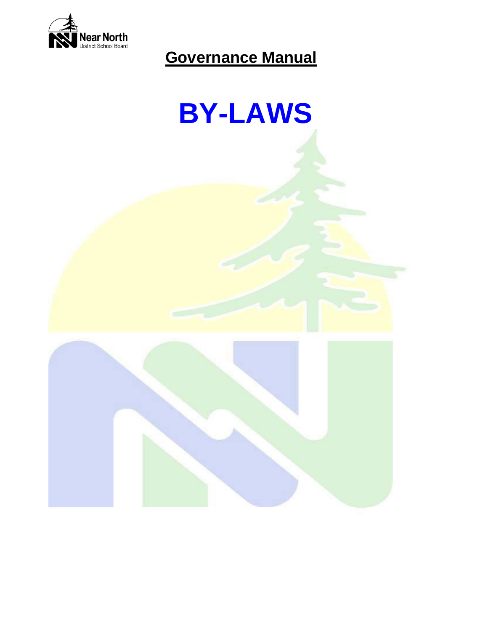

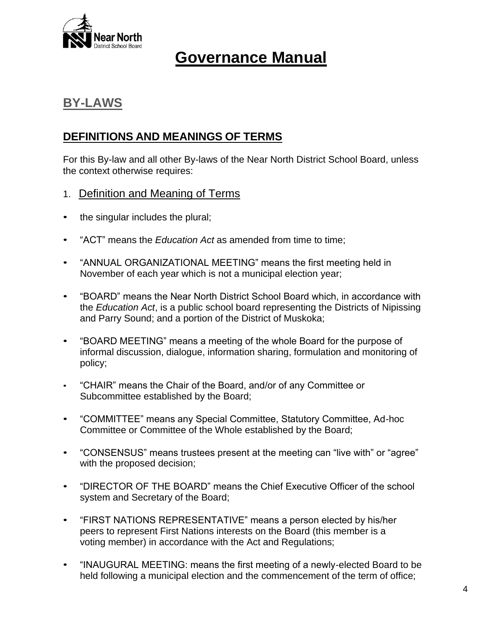

### **BY-LAWS**

### **DEFINITIONS AND MEANINGS OF TERMS**

For this By-law and all other By-laws of the Near North District School Board, unless the context otherwise requires:

- 1. Definition and Meaning of Terms
- the singular includes the plural;
- "ACT" means the *Education Act* as amended from time to time;
- "ANNUAL ORGANIZATIONAL MEETING" means the first meeting held in November of each year which is not a municipal election year;
- "BOARD" means the Near North District School Board which, in accordance with the *Education Act*, is a public school board representing the Districts of Nipissing and Parry Sound; and a portion of the District of Muskoka;
- "BOARD MEETING" means a meeting of the whole Board for the purpose of informal discussion, dialogue, information sharing, formulation and monitoring of policy;
- "CHAIR" means the Chair of the Board, and/or of any Committee or Subcommittee established by the Board;
- "COMMITTEE" means any Special Committee, Statutory Committee, Ad-hoc Committee or Committee of the Whole established by the Board;
- "CONSENSUS" means trustees present at the meeting can "live with" or "agree" with the proposed decision;
- "DIRECTOR OF THE BOARD" means the Chief Executive Officer of the school system and Secretary of the Board;
- "FIRST NATIONS REPRESENTATIVE" means a person elected by his/her peers to represent First Nations interests on the Board (this member is a voting member) in accordance with the Act and Regulations;
- "INAUGURAL MEETING: means the first meeting of a newly-elected Board to be held following a municipal election and the commencement of the term of office;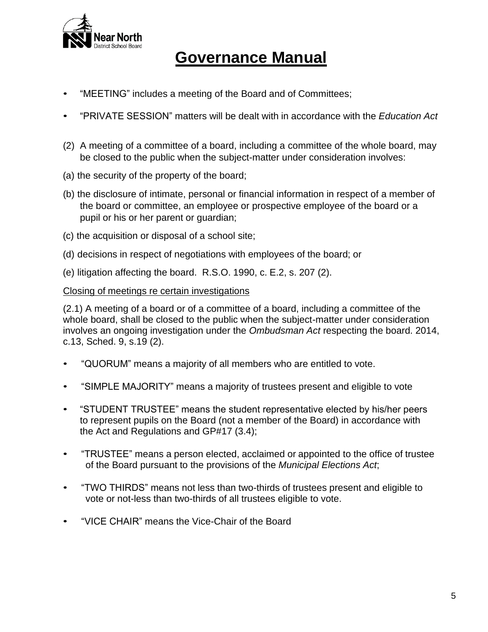

- "MEETING" includes a meeting of the Board and of Committees;
- "PRIVATE SESSION" matters will be dealt with in accordance with the *Education Act*
- (2) A meeting of a committee of a board, including a committee of the whole board, may be closed to the public when the subject-matter under consideration involves:
- (a) the security of the property of the board;
- (b) the disclosure of intimate, personal or financial information in respect of a member of the board or committee, an employee or prospective employee of the board or a pupil or his or her parent or guardian;
- (c) the acquisition or disposal of a school site;
- (d) decisions in respect of negotiations with employees of the board; or
- (e) litigation affecting the board. R.S.O. 1990, c. E.2, s. 207 (2).

#### Closing of meetings re certain investigations

(2.1) A meeting of a board or of a committee of a board, including a committee of the whole board, shall be closed to the public when the subject-matter under consideration involves an ongoing investigation under the *Ombudsman Act* respecting the board. 2014, c.13, Sched. 9, s.19 (2).

- "QUORUM" means a majority of all members who are entitled to vote.
- "SIMPLE MAJORITY" means a majority of trustees present and eligible to vote
- "STUDENT TRUSTEE" means the student representative elected by his/her peers to represent pupils on the Board (not a member of the Board) in accordance with the Act and Regulations and GP#17 (3.4);
- "TRUSTEE" means a person elected, acclaimed or appointed to the office of trustee of the Board pursuant to the provisions of the *Municipal Elections Act*;
- "TWO THIRDS" means not less than two-thirds of trustees present and eligible to vote or not-less than two-thirds of all trustees eligible to vote.
- "VICE CHAIR" means the Vice-Chair of the Board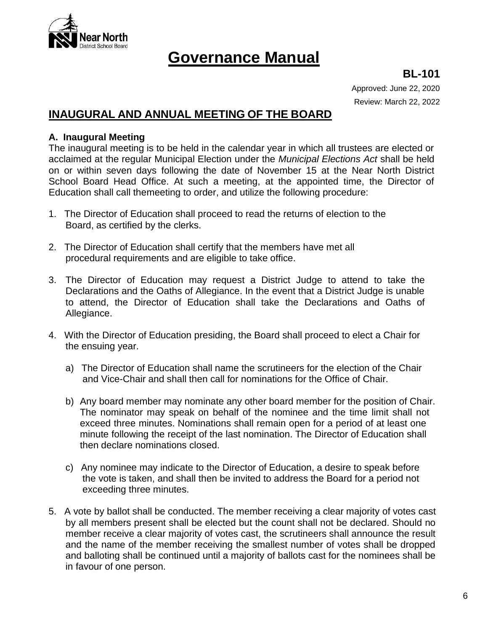

**BL-101**

Approved: June 22, 2020 Review: March 22, 2022

### **INAUGURAL AND ANNUAL MEETING OF THE BOARD**

#### **A. Inaugural Meeting**

The inaugural meeting is to be held in the calendar year in which all trustees are elected or acclaimed at the regular Municipal Election under the *Municipal Elections Act* shall be held on or within seven days following the date of November 15 at the Near North District School Board Head Office. At such a meeting, at the appointed time, the Director of Education shall call themeeting to order, and utilize the following procedure:

- 1. The Director of Education shall proceed to read the returns of election to the Board, as certified by the clerks.
- 2. The Director of Education shall certify that the members have met all procedural requirements and are eligible to take office.
- 3. The Director of Education may request a District Judge to attend to take the Declarations and the Oaths of Allegiance. In the event that a District Judge is unable to attend, the Director of Education shall take the Declarations and Oaths of Allegiance.
- 4. With the Director of Education presiding, the Board shall proceed to elect a Chair for the ensuing year.
	- a) The Director of Education shall name the scrutineers for the election of the Chair and Vice-Chair and shall then call for nominations for the Office of Chair.
	- b) Any board member may nominate any other board member for the position of Chair. The nominator may speak on behalf of the nominee and the time limit shall not exceed three minutes. Nominations shall remain open for a period of at least one minute following the receipt of the last nomination. The Director of Education shall then declare nominations closed.
	- c) Any nominee may indicate to the Director of Education, a desire to speak before the vote is taken, and shall then be invited to address the Board for a period not exceeding three minutes.
- 5. A vote by ballot shall be conducted. The member receiving a clear majority of votes cast by all members present shall be elected but the count shall not be declared. Should no member receive a clear majority of votes cast, the scrutineers shall announce the result and the name of the member receiving the smallest number of votes shall be dropped and balloting shall be continued until a majority of ballots cast for the nominees shall be in favour of one person.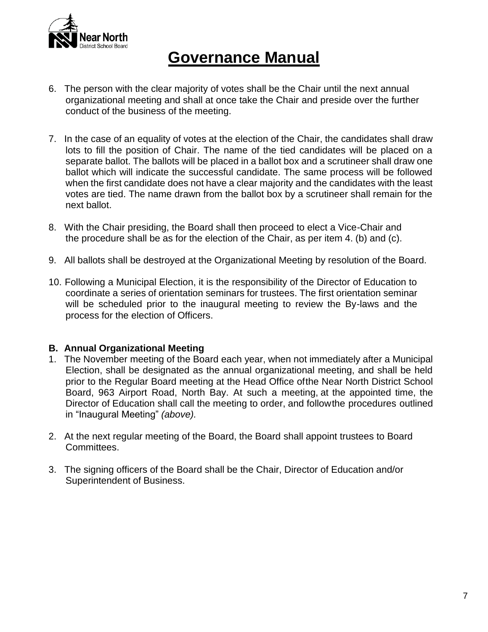

- 6. The person with the clear majority of votes shall be the Chair until the next annual organizational meeting and shall at once take the Chair and preside over the further conduct of the business of the meeting.
- 7. In the case of an equality of votes at the election of the Chair, the candidates shall draw lots to fill the position of Chair. The name of the tied candidates will be placed on a separate ballot. The ballots will be placed in a ballot box and a scrutineer shall draw one ballot which will indicate the successful candidate. The same process will be followed when the first candidate does not have a clear majority and the candidates with the least votes are tied. The name drawn from the ballot box by a scrutineer shall remain for the next ballot.
- 8. With the Chair presiding, the Board shall then proceed to elect a Vice-Chair and the procedure shall be as for the election of the Chair, as per item 4. (b) and (c).
- 9. All ballots shall be destroyed at the Organizational Meeting by resolution of the Board.
- 10. Following a Municipal Election, it is the responsibility of the Director of Education to coordinate a series of orientation seminars for trustees. The first orientation seminar will be scheduled prior to the inaugural meeting to review the By-laws and the process for the election of Officers.

#### **B. Annual Organizational Meeting**

- 1. The November meeting of the Board each year, when not immediately after a Municipal Election, shall be designated as the annual organizational meeting, and shall be held prior to the Regular Board meeting at the Head Office ofthe Near North District School Board, 963 Airport Road, North Bay. At such a meeting, at the appointed time, the Director of Education shall call the meeting to order, and followthe procedures outlined in "Inaugural Meeting" *(above).*
- 2. At the next regular meeting of the Board, the Board shall appoint trustees to Board Committees.
- 3. The signing officers of the Board shall be the Chair, Director of Education and/or Superintendent of Business.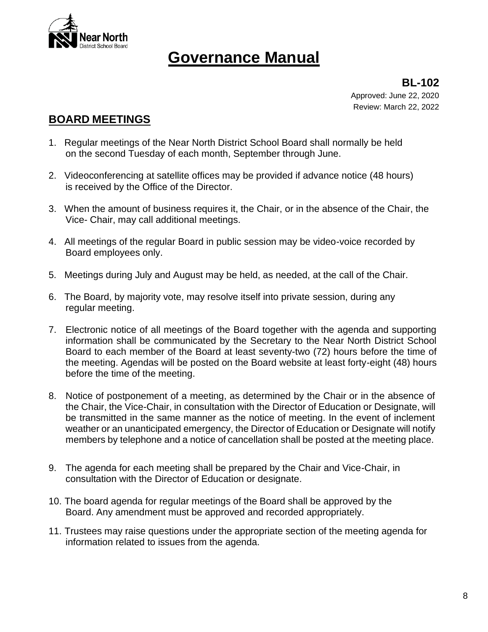

**BL-102** Approved: June 22, 2020 Review: March 22, 2022

### **BOARD MEETINGS**

- 1. Regular meetings of the Near North District School Board shall normally be held on the second Tuesday of each month, September through June.
- 2. Videoconferencing at satellite offices may be provided if advance notice (48 hours) is received by the Office of the Director.
- 3. When the amount of business requires it, the Chair, or in the absence of the Chair, the Vice- Chair, may call additional meetings.
- 4. All meetings of the regular Board in public session may be video-voice recorded by Board employees only.
- 5. Meetings during July and August may be held, as needed, at the call of the Chair.
- 6. The Board, by majority vote, may resolve itself into private session, during any regular meeting.
- 7. Electronic notice of all meetings of the Board together with the agenda and supporting information shall be communicated by the Secretary to the Near North District School Board to each member of the Board at least seventy-two (72) hours before the time of the meeting. Agendas will be posted on the Board website at least forty-eight (48) hours before the time of the meeting.
- 8. Notice of postponement of a meeting, as determined by the Chair or in the absence of the Chair, the Vice-Chair, in consultation with the Director of Education or Designate, will be transmitted in the same manner as the notice of meeting. In the event of inclement weather or an unanticipated emergency, the Director of Education or Designate will notify members by telephone and a notice of cancellation shall be posted at the meeting place.
- 9. The agenda for each meeting shall be prepared by the Chair and Vice-Chair, in consultation with the Director of Education or designate.
- 10. The board agenda for regular meetings of the Board shall be approved by the Board. Any amendment must be approved and recorded appropriately.
- 11. Trustees may raise questions under the appropriate section of the meeting agenda for information related to issues from the agenda.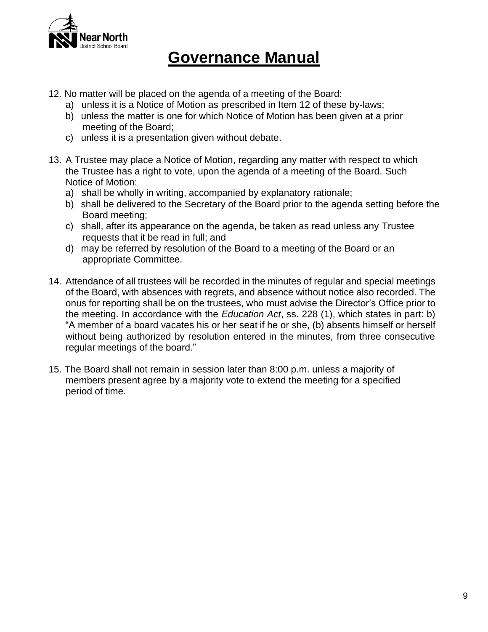

- 12. No matter will be placed on the agenda of a meeting of the Board:
	- a) unless it is a Notice of Motion as prescribed in Item 12 of these by-laws;
	- b) unless the matter is one for which Notice of Motion has been given at a prior meeting of the Board;
	- c) unless it is a presentation given without debate.
- 13. A Trustee may place a Notice of Motion, regarding any matter with respect to which the Trustee has a right to vote, upon the agenda of a meeting of the Board. Such Notice of Motion:
	- a) shall be wholly in writing, accompanied by explanatory rationale;
	- b) shall be delivered to the Secretary of the Board prior to the agenda setting before the Board meeting;
	- c) shall, after its appearance on the agenda, be taken as read unless any Trustee requests that it be read in full; and
	- d) may be referred by resolution of the Board to a meeting of the Board or an appropriate Committee.
- 14. Attendance of all trustees will be recorded in the minutes of regular and special meetings of the Board, with absences with regrets, and absence without notice also recorded. The onus for reporting shall be on the trustees, who must advise the Director's Office prior to the meeting. In accordance with the *Education Act*, ss. 228 (1), which states in part: b) "A member of a board vacates his or her seat if he or she, (b) absents himself or herself without being authorized by resolution entered in the minutes, from three consecutive regular meetings of the board."
- 15. The Board shall not remain in session later than 8:00 p.m. unless a majority of members present agree by a majority vote to extend the meeting for a specified period of time.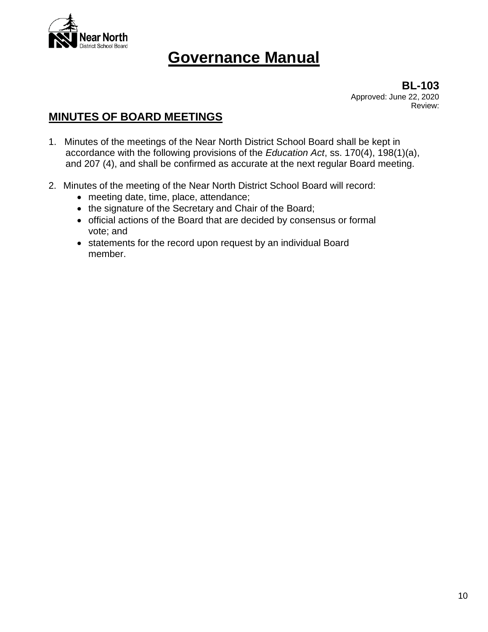

**BL-103** Approved: June 22, 2020 Review:

### **MINUTES OF BOARD MEETINGS**

- 1. Minutes of the meetings of the Near North District School Board shall be kept in accordance with the following provisions of the *Education Act*, ss. 170(4), 198(1)(a), and 207 (4), and shall be confirmed as accurate at the next regular Board meeting.
- 2. Minutes of the meeting of the Near North District School Board will record:
	- meeting date, time, place, attendance;
	- the signature of the Secretary and Chair of the Board;
	- official actions of the Board that are decided by consensus or formal vote; and
	- statements for the record upon request by an individual Board member.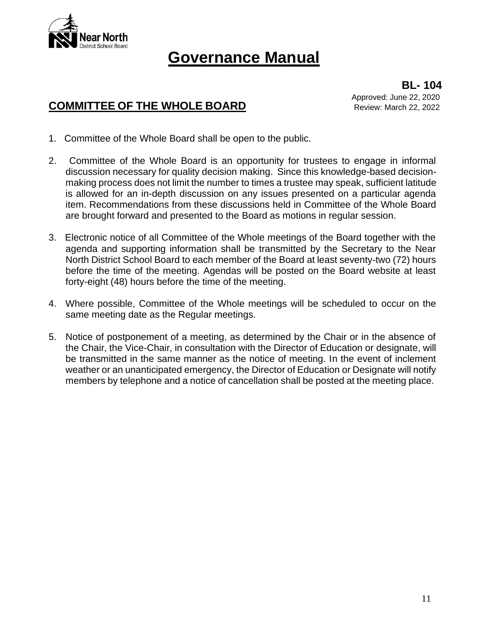

### **COMMITTEE OF THE WHOLE BOARD**

**BL- 104** Approved: June 22, 2020 Review: March 22, 2022

- 1. Committee of the Whole Board shall be open to the public.
- 2. Committee of the Whole Board is an opportunity for trustees to engage in informal discussion necessary for quality decision making. Since this knowledge-based decisionmaking process does not limit the number to times a trustee may speak, sufficient latitude is allowed for an in-depth discussion on any issues presented on a particular agenda item. Recommendations from these discussions held in Committee of the Whole Board are brought forward and presented to the Board as motions in regular session.
- 3. Electronic notice of all Committee of the Whole meetings of the Board together with the agenda and supporting information shall be transmitted by the Secretary to the Near North District School Board to each member of the Board at least seventy-two (72) hours before the time of the meeting. Agendas will be posted on the Board website at least forty-eight (48) hours before the time of the meeting.
- 4. Where possible, Committee of the Whole meetings will be scheduled to occur on the same meeting date as the Regular meetings.
- 5. Notice of postponement of a meeting, as determined by the Chair or in the absence of the Chair, the Vice-Chair, in consultation with the Director of Education or designate, will be transmitted in the same manner as the notice of meeting. In the event of inclement weather or an unanticipated emergency, the Director of Education or Designate will notify members by telephone and a notice of cancellation shall be posted at the meeting place.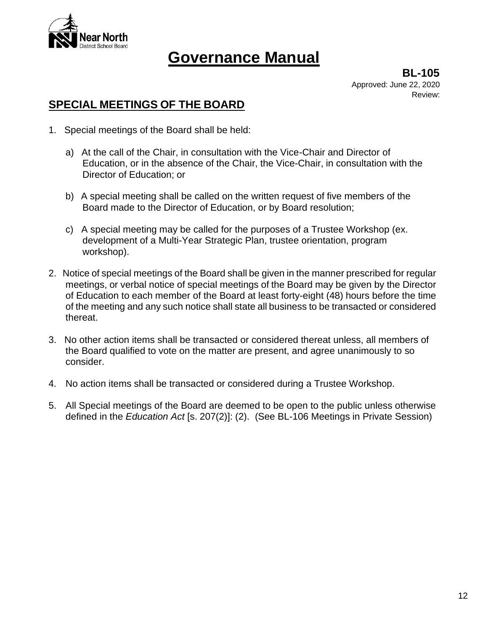

**BL-105** Approved: June 22, 2020 Review:

### **SPECIAL MEETINGS OF THE BOARD**

- 1. Special meetings of the Board shall be held:
	- a) At the call of the Chair, in consultation with the Vice-Chair and Director of Education, or in the absence of the Chair, the Vice-Chair, in consultation with the Director of Education; or
	- b) A special meeting shall be called on the written request of five members of the Board made to the Director of Education, or by Board resolution;
	- c) A special meeting may be called for the purposes of a Trustee Workshop (ex. development of a Multi-Year Strategic Plan, trustee orientation, program workshop).
- 2. Notice of special meetings of the Board shall be given in the manner prescribed for regular meetings, or verbal notice of special meetings of the Board may be given by the Director of Education to each member of the Board at least forty-eight (48) hours before the time of the meeting and any such notice shall state all business to be transacted or considered thereat.
- 3. No other action items shall be transacted or considered thereat unless, all members of the Board qualified to vote on the matter are present, and agree unanimously to so consider.
- 4. No action items shall be transacted or considered during a Trustee Workshop.
- 5. All Special meetings of the Board are deemed to be open to the public unless otherwise defined in the *Education Act* [s. 207(2)]: (2). (See BL-106 Meetings in Private Session)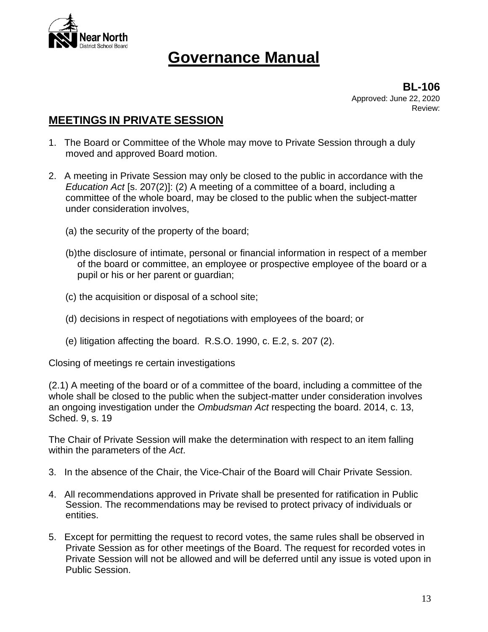

**BL-106** Approved: June 22, 2020 Review:

### **MEETINGS IN PRIVATE SESSION**

- 1. The Board or Committee of the Whole may move to Private Session through a duly moved and approved Board motion.
- 2. A meeting in Private Session may only be closed to the public in accordance with the *Education Act* [s. 207(2)]: (2) A meeting of a committee of a board, including a committee of the whole board, may be closed to the public when the subject-matter under consideration involves,
	- (a) the security of the property of the board;
	- (b)the disclosure of intimate, personal or financial information in respect of a member of the board or committee, an employee or prospective employee of the board or a pupil or his or her parent or guardian;
	- (c) the acquisition or disposal of a school site;
	- (d) decisions in respect of negotiations with employees of the board; or
	- (e) litigation affecting the board. R.S.O. 1990, c. E.2, s. 207 (2).

Closing of meetings re certain investigations

(2.1) A meeting of the board or of a committee of the board, including a committee of the whole shall be closed to the public when the subject-matter under consideration involves an ongoing investigation under the *Ombudsman Act* respecting the board. 2014, c. 13, Sched. 9, s. 19

The Chair of Private Session will make the determination with respect to an item falling within the parameters of the *Act*.

- 3. In the absence of the Chair, the Vice-Chair of the Board will Chair Private Session.
- 4. All recommendations approved in Private shall be presented for ratification in Public Session. The recommendations may be revised to protect privacy of individuals or entities.
- 5. Except for permitting the request to record votes, the same rules shall be observed in Private Session as for other meetings of the Board. The request for recorded votes in Private Session will not be allowed and will be deferred until any issue is voted upon in Public Session.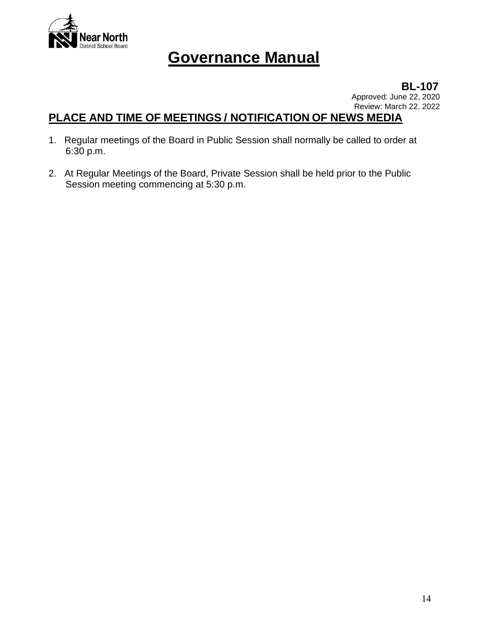

**BL-107** Approved: June 22, 2020 Review: March 22, 2022

### **PLACE AND TIME OF MEETINGS / NOTIFICATION OF NEWS MEDIA**

- 1. Regular meetings of the Board in Public Session shall normally be called to order at 6:30 p.m.
- 2. At Regular Meetings of the Board, Private Session shall be held prior to the Public Session meeting commencing at 5:30 p.m.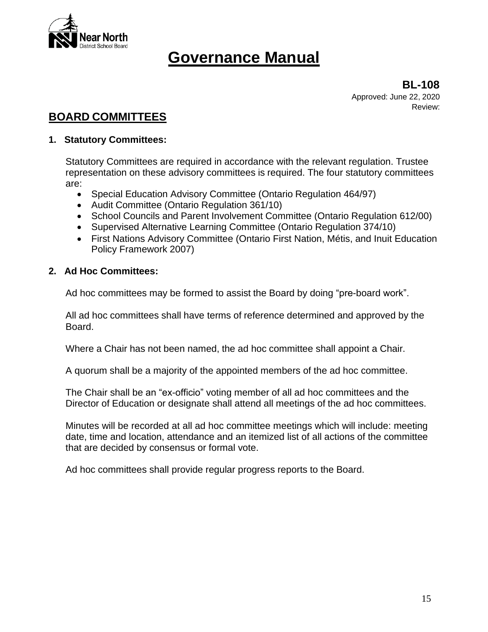

**BL-108** Approved: June 22, 2020 Review:

### **BOARD COMMITTEES**

#### **1. Statutory Committees:**

Statutory Committees are required in accordance with the relevant regulation. Trustee representation on these advisory committees is required. The four statutory committees are:

- Special Education Advisory Committee (Ontario Regulation 464/97)
- Audit Committee (Ontario Regulation 361/10)
- School Councils and Parent Involvement Committee (Ontario Regulation 612/00)
- Supervised Alternative Learning Committee (Ontario Regulation 374/10)
- First Nations Advisory Committee (Ontario First Nation, Métis, and Inuit Education Policy Framework 2007)

#### **2. Ad Hoc Committees:**

Ad hoc committees may be formed to assist the Board by doing "pre-board work".

All ad hoc committees shall have terms of reference determined and approved by the Board.

Where a Chair has not been named, the ad hoc committee shall appoint a Chair.

A quorum shall be a majority of the appointed members of the ad hoc committee.

The Chair shall be an "ex-officio" voting member of all ad hoc committees and the Director of Education or designate shall attend all meetings of the ad hoc committees.

Minutes will be recorded at all ad hoc committee meetings which will include: meeting date, time and location, attendance and an itemized list of all actions of the committee that are decided by consensus or formal vote.

Ad hoc committees shall provide regular progress reports to the Board.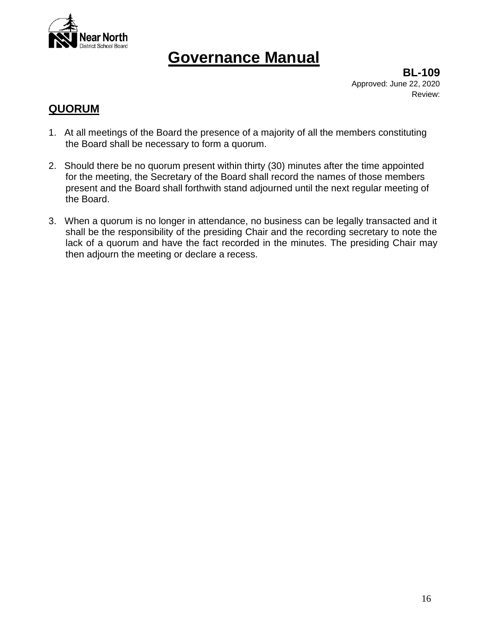

**BL-109** Approved: June 22, 2020 Review:

### **QUORUM**

- 1. At all meetings of the Board the presence of a majority of all the members constituting the Board shall be necessary to form a quorum.
- 2. Should there be no quorum present within thirty (30) minutes after the time appointed for the meeting, the Secretary of the Board shall record the names of those members present and the Board shall forthwith stand adjourned until the next regular meeting of the Board.
- 3. When a quorum is no longer in attendance, no business can be legally transacted and it shall be the responsibility of the presiding Chair and the recording secretary to note the lack of a quorum and have the fact recorded in the minutes. The presiding Chair may then adjourn the meeting or declare a recess.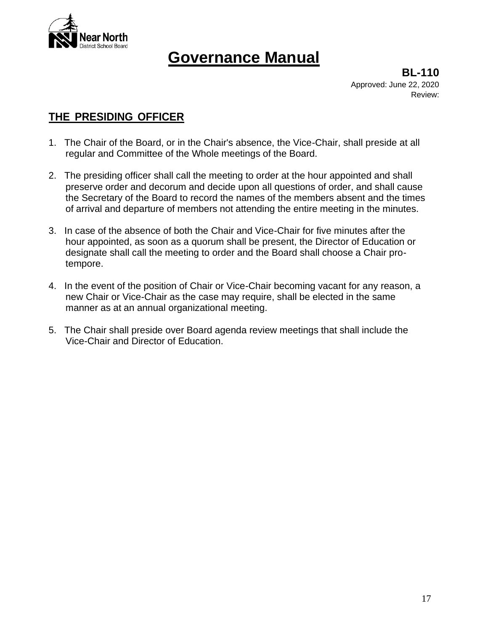

**BL-110** Approved: June 22, 2020 Review:

### **THE PRESIDING OFFICER**

- 1. The Chair of the Board, or in the Chair's absence, the Vice-Chair, shall preside at all regular and Committee of the Whole meetings of the Board.
- 2. The presiding officer shall call the meeting to order at the hour appointed and shall preserve order and decorum and decide upon all questions of order, and shall cause the Secretary of the Board to record the names of the members absent and the times of arrival and departure of members not attending the entire meeting in the minutes.
- 3. In case of the absence of both the Chair and Vice-Chair for five minutes after the hour appointed, as soon as a quorum shall be present, the Director of Education or designate shall call the meeting to order and the Board shall choose a Chair protempore.
- 4. In the event of the position of Chair or Vice-Chair becoming vacant for any reason, a new Chair or Vice-Chair as the case may require, shall be elected in the same manner as at an annual organizational meeting.
- 5. The Chair shall preside over Board agenda review meetings that shall include the Vice-Chair and Director of Education.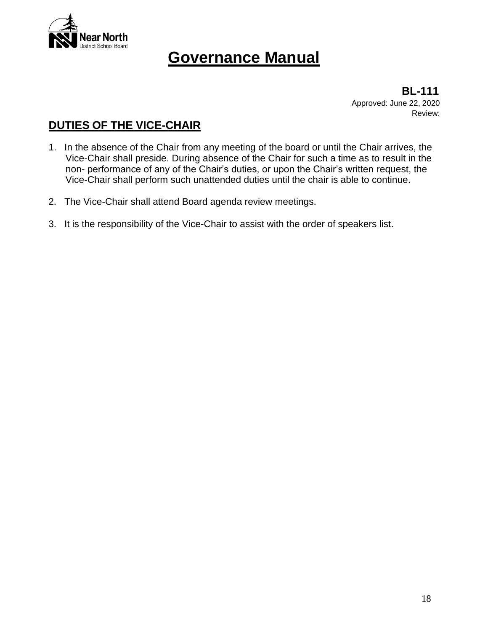

 **BL-111** Approved: June 22, 2020 Review:

### **DUTIES OF THE VICE-CHAIR**

- 1. In the absence of the Chair from any meeting of the board or until the Chair arrives, the Vice-Chair shall preside. During absence of the Chair for such a time as to result in the non- performance of any of the Chair's duties, or upon the Chair's written request, the Vice-Chair shall perform such unattended duties until the chair is able to continue.
- 2. The Vice-Chair shall attend Board agenda review meetings.
- 3. It is the responsibility of the Vice-Chair to assist with the order of speakers list.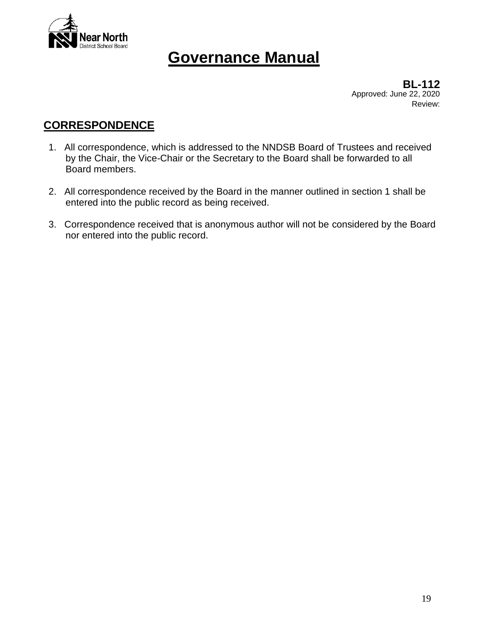

Approved: June 22, 2020 Review: **BL-112**

### **CORRESPONDENCE**

- 1. All correspondence, which is addressed to the NNDSB Board of Trustees and received by the Chair, the Vice-Chair or the Secretary to the Board shall be forwarded to all Board members.
- 2. All correspondence received by the Board in the manner outlined in section 1 shall be entered into the public record as being received.
- 3. Correspondence received that is anonymous author will not be considered by the Board nor entered into the public record.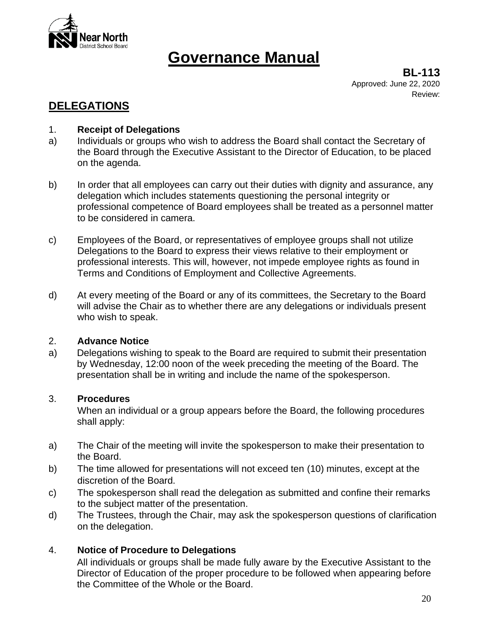

**BL-113** Approved: June 22, 2020 Review:

### **DELEGATIONS**

#### 1. **Receipt of Delegations**

- a) Individuals or groups who wish to address the Board shall contact the Secretary of the Board through the Executive Assistant to the Director of Education, to be placed on the agenda.
- b) In order that all employees can carry out their duties with dignity and assurance, any delegation which includes statements questioning the personal integrity or professional competence of Board employees shall be treated as a personnel matter to be considered in camera.
- c) Employees of the Board, or representatives of employee groups shall not utilize Delegations to the Board to express their views relative to their employment or professional interests. This will, however, not impede employee rights as found in Terms and Conditions of Employment and Collective Agreements.
- d) At every meeting of the Board or any of its committees, the Secretary to the Board will advise the Chair as to whether there are any delegations or individuals present who wish to speak.

#### 2. **Advance Notice**

a) Delegations wishing to speak to the Board are required to submit their presentation by Wednesday, 12:00 noon of the week preceding the meeting of the Board. The presentation shall be in writing and include the name of the spokesperson.

#### 3. **Procedures**

When an individual or a group appears before the Board, the following procedures shall apply:

- a) The Chair of the meeting will invite the spokesperson to make their presentation to the Board.
- b) The time allowed for presentations will not exceed ten (10) minutes, except at the discretion of the Board.
- c) The spokesperson shall read the delegation as submitted and confine their remarks to the subject matter of the presentation.
- d) The Trustees, through the Chair, may ask the spokesperson questions of clarification on the delegation.

#### 4. **Notice of Procedure to Delegations**

All individuals or groups shall be made fully aware by the Executive Assistant to the Director of Education of the proper procedure to be followed when appearing before the Committee of the Whole or the Board.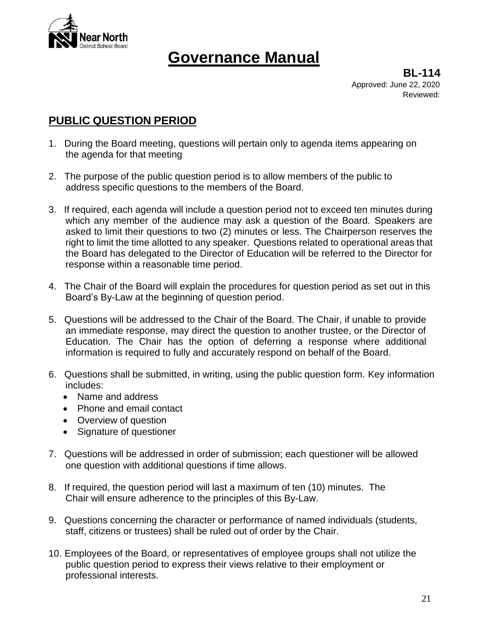

**BL-114** Approved: June 22, 2020 Reviewed:

### **PUBLIC QUESTION PERIOD**

- 1. During the Board meeting, questions will pertain only to agenda items appearing on the agenda for that meeting
- 2. The purpose of the public question period is to allow members of the public to address specific questions to the members of the Board.
- 3. If required, each agenda will include a question period not to exceed ten minutes during which any member of the audience may ask a question of the Board. Speakers are asked to limit their questions to two (2) minutes or less. The Chairperson reserves the right to limit the time allotted to any speaker. Questions related to operational areas that the Board has delegated to the Director of Education will be referred to the Director for response within a reasonable time period.
- 4. The Chair of the Board will explain the procedures for question period as set out in this Board's By-Law at the beginning of question period.
- 5. Questions will be addressed to the Chair of the Board. The Chair, if unable to provide an immediate response, may direct the question to another trustee, or the Director of Education. The Chair has the option of deferring a response where additional information is required to fully and accurately respond on behalf of the Board.
- 6. Questions shall be submitted, in writing, using the public question form. Key information includes:
	- Name and address
	- Phone and email contact
	- Overview of question
	- Signature of questioner
- 7. Questions will be addressed in order of submission; each questioner will be allowed one question with additional questions if time allows.
- 8. If required, the question period will last a maximum of ten (10) minutes. The Chair will ensure adherence to the principles of this By-Law.
- 9. Questions concerning the character or performance of named individuals (students, staff, citizens or trustees) shall be ruled out of order by the Chair.
- 10. Employees of the Board, or representatives of employee groups shall not utilize the public question period to express their views relative to their employment or professional interests.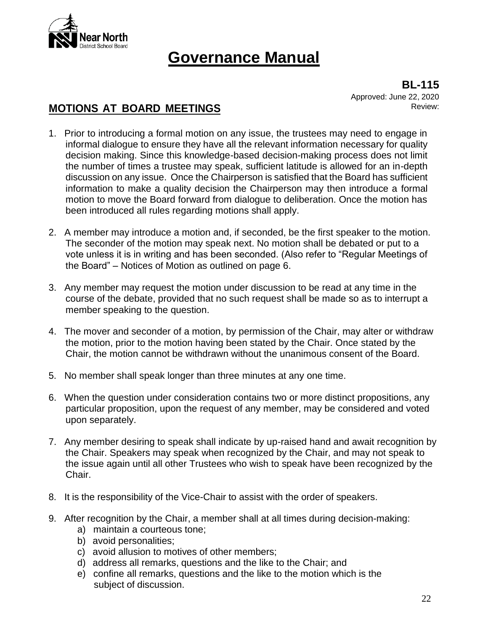

**BL-115** Approved: June 22, 2020 Review:

### **MOTIONS AT BOARD MEETINGS**

- 1. Prior to introducing a formal motion on any issue, the trustees may need to engage in informal dialogue to ensure they have all the relevant information necessary for quality decision making. Since this knowledge-based decision-making process does not limit the number of times a trustee may speak, sufficient latitude is allowed for an in-depth discussion on any issue. Once the Chairperson is satisfied that the Board has sufficient information to make a quality decision the Chairperson may then introduce a formal motion to move the Board forward from dialogue to deliberation. Once the motion has been introduced all rules regarding motions shall apply.
- 2. A member may introduce a motion and, if seconded, be the first speaker to the motion. The seconder of the motion may speak next. No motion shall be debated or put to a vote unless it is in writing and has been seconded. (Also refer to "Regular Meetings of the Board" – Notices of Motion as outlined on page 6.
- 3. Any member may request the motion under discussion to be read at any time in the course of the debate, provided that no such request shall be made so as to interrupt a member speaking to the question.
- 4. The mover and seconder of a motion, by permission of the Chair, may alter or withdraw the motion, prior to the motion having been stated by the Chair. Once stated by the Chair, the motion cannot be withdrawn without the unanimous consent of the Board.
- 5. No member shall speak longer than three minutes at any one time.
- 6. When the question under consideration contains two or more distinct propositions, any particular proposition, upon the request of any member, may be considered and voted upon separately.
- 7. Any member desiring to speak shall indicate by up-raised hand and await recognition by the Chair. Speakers may speak when recognized by the Chair, and may not speak to the issue again until all other Trustees who wish to speak have been recognized by the Chair.
- 8. It is the responsibility of the Vice-Chair to assist with the order of speakers.
- 9. After recognition by the Chair, a member shall at all times during decision-making:
	- a) maintain a courteous tone;
	- b) avoid personalities;
	- c) avoid allusion to motives of other members;
	- d) address all remarks, questions and the like to the Chair; and
	- e) confine all remarks, questions and the like to the motion which is the subject of discussion.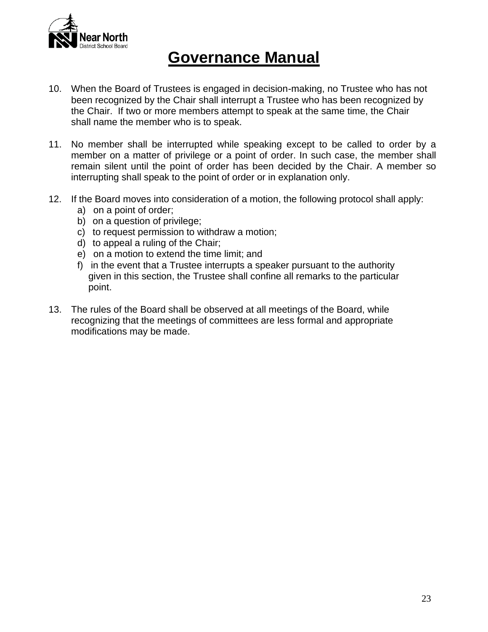

- 10. When the Board of Trustees is engaged in decision-making, no Trustee who has not been recognized by the Chair shall interrupt a Trustee who has been recognized by the Chair. If two or more members attempt to speak at the same time, the Chair shall name the member who is to speak.
- 11. No member shall be interrupted while speaking except to be called to order by a member on a matter of privilege or a point of order. In such case, the member shall remain silent until the point of order has been decided by the Chair. A member so interrupting shall speak to the point of order or in explanation only.
- 12. If the Board moves into consideration of a motion, the following protocol shall apply:
	- a) on a point of order;
	- b) on a question of privilege:
	- c) to request permission to withdraw a motion;
	- d) to appeal a ruling of the Chair;
	- e) on a motion to extend the time limit; and
	- f) in the event that a Trustee interrupts a speaker pursuant to the authority given in this section, the Trustee shall confine all remarks to the particular point.
- 13. The rules of the Board shall be observed at all meetings of the Board, while recognizing that the meetings of committees are less formal and appropriate modifications may be made.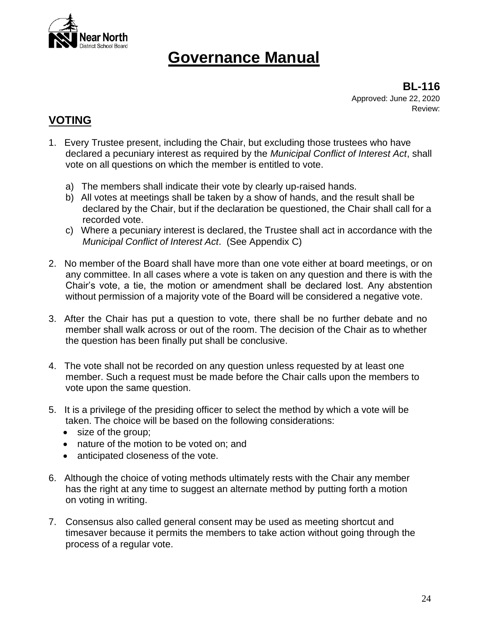

**BL-116** Approved: June 22, 2020 Review:

### **VOTING**

- 1. Every Trustee present, including the Chair, but excluding those trustees who have declared a pecuniary interest as required by the *Municipal Conflict of Interest Act*, shall vote on all questions on which the member is entitled to vote.
	- a) The members shall indicate their vote by clearly up-raised hands.
	- b) All votes at meetings shall be taken by a show of hands, and the result shall be declared by the Chair, but if the declaration be questioned, the Chair shall call for a recorded vote.
	- c) Where a pecuniary interest is declared, the Trustee shall act in accordance with the *Municipal Conflict of Interest Act*. (See Appendix C)
- 2. No member of the Board shall have more than one vote either at board meetings, or on any committee. In all cases where a vote is taken on any question and there is with the Chair's vote, a tie, the motion or amendment shall be declared lost. Any abstention without permission of a majority vote of the Board will be considered a negative vote.
- 3. After the Chair has put a question to vote, there shall be no further debate and no member shall walk across or out of the room. The decision of the Chair as to whether the question has been finally put shall be conclusive.
- 4. The vote shall not be recorded on any question unless requested by at least one member. Such a request must be made before the Chair calls upon the members to vote upon the same question.
- 5. It is a privilege of the presiding officer to select the method by which a vote will be taken. The choice will be based on the following considerations:
	- size of the group;
	- nature of the motion to be voted on; and
	- anticipated closeness of the vote.
- 6. Although the choice of voting methods ultimately rests with the Chair any member has the right at any time to suggest an alternate method by putting forth a motion on voting in writing.
- 7. Consensus also called general consent may be used as meeting shortcut and timesaver because it permits the members to take action without going through the process of a regular vote.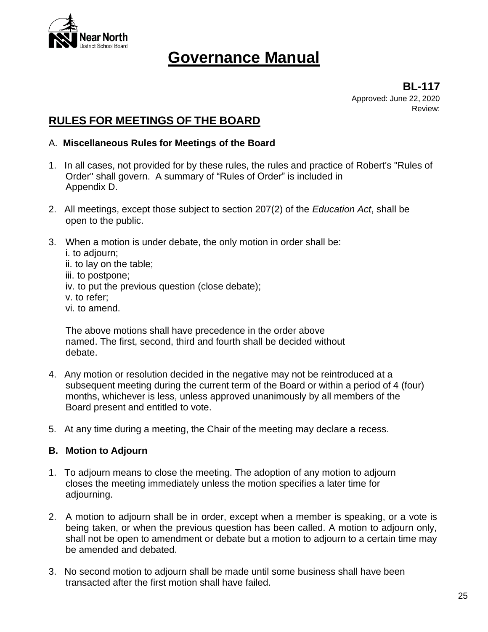

**BL-117** Approved: June 22, 2020 Review:

### **RULES FOR MEETINGS OF THE BOARD**

#### A. **Miscellaneous Rules for Meetings of the Board**

- 1. In all cases, not provided for by these rules, the rules and practice of Robert's "Rules of Order" shall govern. A summary of "Rules of Order" is included in Appendix D.
- 2. All meetings, except those subject to section 207(2) of the *Education Act*, shall be open to the public.
- 3. When a motion is under debate, the only motion in order shall be:
	- i. to adjourn;
	- ii. to lay on the table;
	- iii. to postpone;
	- iv. to put the previous question (close debate);
	- v. to refer;
	- vi. to amend.

The above motions shall have precedence in the order above named. The first, second, third and fourth shall be decided without debate.

- 4. Any motion or resolution decided in the negative may not be reintroduced at a subsequent meeting during the current term of the Board or within a period of 4 (four) months, whichever is less, unless approved unanimously by all members of the Board present and entitled to vote.
- 5. At any time during a meeting, the Chair of the meeting may declare a recess.

#### **B. Motion to Adjourn**

- 1. To adjourn means to close the meeting. The adoption of any motion to adjourn closes the meeting immediately unless the motion specifies a later time for adjourning.
- 2. A motion to adjourn shall be in order, except when a member is speaking, or a vote is being taken, or when the previous question has been called. A motion to adjourn only, shall not be open to amendment or debate but a motion to adjourn to a certain time may be amended and debated.
- 3. No second motion to adjourn shall be made until some business shall have been transacted after the first motion shall have failed.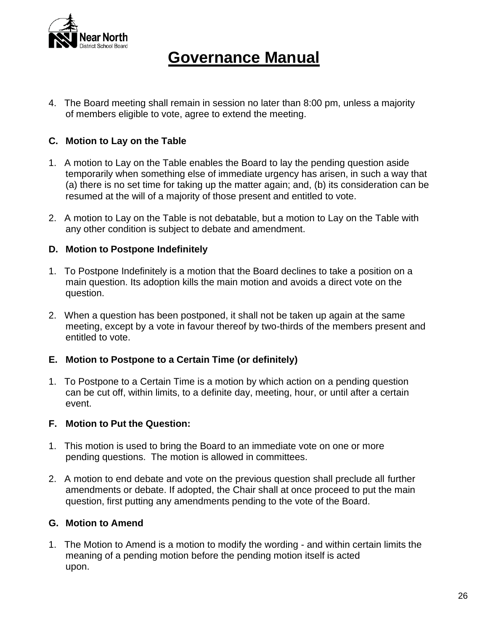

4. The Board meeting shall remain in session no later than 8:00 pm, unless a majority of members eligible to vote, agree to extend the meeting.

#### **C. Motion to Lay on the Table**

- 1. A motion to Lay on the Table enables the Board to lay the pending question aside temporarily when something else of immediate urgency has arisen, in such a way that (a) there is no set time for taking up the matter again; and, (b) its consideration can be resumed at the will of a majority of those present and entitled to vote.
- 2. A motion to Lay on the Table is not debatable, but a motion to Lay on the Table with any other condition is subject to debate and amendment.

#### **D. Motion to Postpone Indefinitely**

- 1. To Postpone Indefinitely is a motion that the Board declines to take a position on a main question. Its adoption kills the main motion and avoids a direct vote on the question.
- 2. When a question has been postponed, it shall not be taken up again at the same meeting, except by a vote in favour thereof by two-thirds of the members present and entitled to vote.

#### **E. Motion to Postpone to a Certain Time (or definitely)**

1. To Postpone to a Certain Time is a motion by which action on a pending question can be cut off, within limits, to a definite day, meeting, hour, or until after a certain event.

#### **F. Motion to Put the Question:**

- 1. This motion is used to bring the Board to an immediate vote on one or more pending questions. The motion is allowed in committees.
- 2. A motion to end debate and vote on the previous question shall preclude all further amendments or debate. If adopted, the Chair shall at once proceed to put the main question, first putting any amendments pending to the vote of the Board.

#### **G. Motion to Amend**

1. The Motion to Amend is a motion to modify the wording - and within certain limits the meaning of a pending motion before the pending motion itself is acted upon.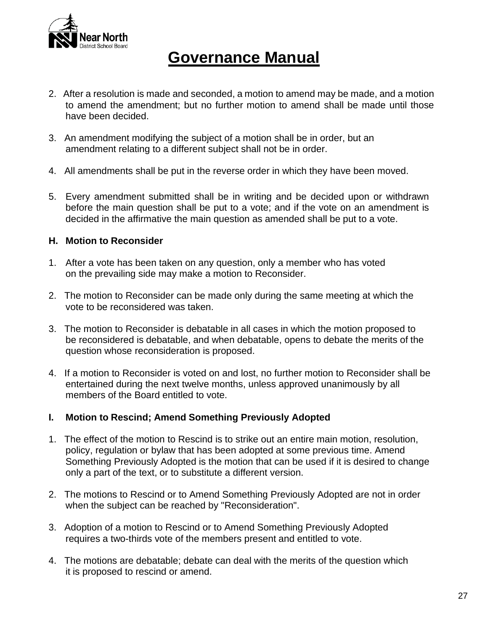

- 2. After a resolution is made and seconded, a motion to amend may be made, and a motion to amend the amendment; but no further motion to amend shall be made until those have been decided.
- 3. An amendment modifying the subject of a motion shall be in order, but an amendment relating to a different subject shall not be in order.
- 4. All amendments shall be put in the reverse order in which they have been moved.
- 5. Every amendment submitted shall be in writing and be decided upon or withdrawn before the main question shall be put to a vote; and if the vote on an amendment is decided in the affirmative the main question as amended shall be put to a vote.

#### **H. Motion to Reconsider**

- 1. After a vote has been taken on any question, only a member who has voted on the prevailing side may make a motion to Reconsider.
- 2. The motion to Reconsider can be made only during the same meeting at which the vote to be reconsidered was taken.
- 3. The motion to Reconsider is debatable in all cases in which the motion proposed to be reconsidered is debatable, and when debatable, opens to debate the merits of the question whose reconsideration is proposed.
- 4. If a motion to Reconsider is voted on and lost, no further motion to Reconsider shall be entertained during the next twelve months, unless approved unanimously by all members of the Board entitled to vote.

#### **I. Motion to Rescind; Amend Something Previously Adopted**

- 1. The effect of the motion to Rescind is to strike out an entire main motion, resolution, policy, regulation or bylaw that has been adopted at some previous time. Amend Something Previously Adopted is the motion that can be used if it is desired to change only a part of the text, or to substitute a different version.
- 2. The motions to Rescind or to Amend Something Previously Adopted are not in order when the subject can be reached by "Reconsideration".
- 3. Adoption of a motion to Rescind or to Amend Something Previously Adopted requires a two-thirds vote of the members present and entitled to vote.
- 4. The motions are debatable; debate can deal with the merits of the question which it is proposed to rescind or amend.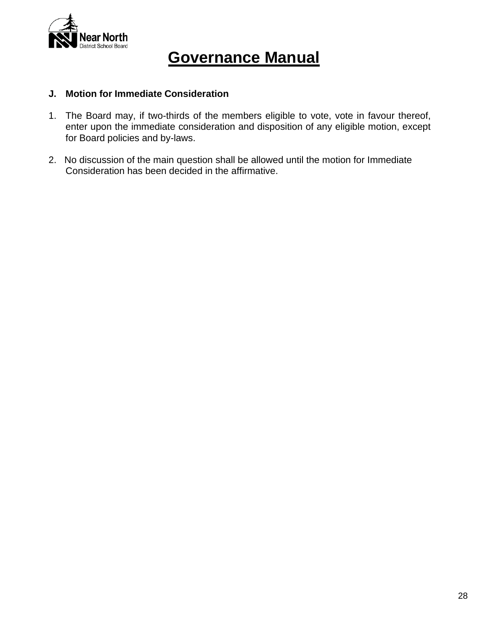

#### **J. Motion for Immediate Consideration**

- 1. The Board may, if two-thirds of the members eligible to vote, vote in favour thereof, enter upon the immediate consideration and disposition of any eligible motion, except for Board policies and by-laws.
- 2. No discussion of the main question shall be allowed until the motion for Immediate Consideration has been decided in the affirmative.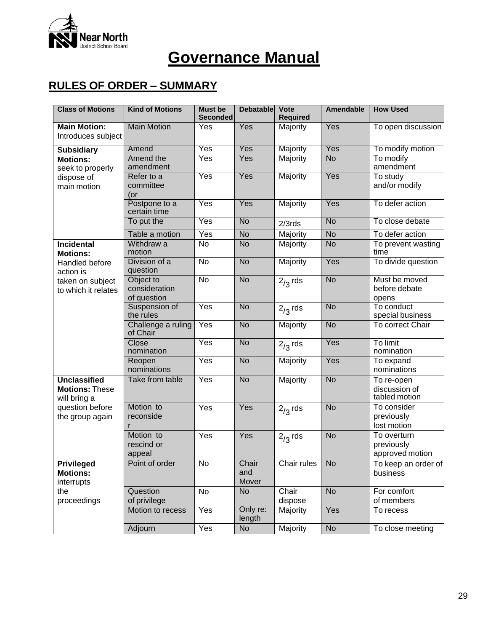

### **RULES OF ORDER – SUMMARY**

| <b>Class of Motions</b>                                                                                 | <b>Kind of Motions</b>                    | <b>Must be</b><br><b>Seconded</b> | <b>Debatable</b>      | Vote<br><b>Required</b> | <b>Amendable</b> | <b>How Used</b>                              |
|---------------------------------------------------------------------------------------------------------|-------------------------------------------|-----------------------------------|-----------------------|-------------------------|------------------|----------------------------------------------|
| <b>Main Motion:</b><br>Introduces subject                                                               | <b>Main Motion</b>                        | Yes                               | Yes                   | Majority                | Yes              | To open discussion                           |
| <b>Subsidiary</b>                                                                                       | Amend                                     | Yes                               | Yes                   | Majority                | Yes              | To modify motion                             |
| <b>Motions:</b><br>seek to properly<br>dispose of<br>main motion                                        | Amend the<br>amendment                    | Yes                               | Yes                   | Majority                | <b>No</b>        | To modify<br>amendment                       |
|                                                                                                         | Refer to a<br>committee<br>(or            | Yes                               | Yes                   | Majority                | Yes              | To study<br>and/or modify                    |
|                                                                                                         | Postpone to a<br>certain time             | Yes                               | Yes                   | Majority                | Yes              | To defer action                              |
|                                                                                                         | To put the                                | Yes                               | <b>No</b>             | $2/3$ rds               | <b>No</b>        | To close debate                              |
|                                                                                                         | Table a motion                            | Yes                               | <b>No</b>             | Majority                | <b>No</b>        | To defer action                              |
| Incidental<br><b>Motions:</b><br>Handled before<br>action is<br>taken on subject<br>to which it relates | Withdraw a<br>motion                      | No                                | <b>No</b>             | Majority                | <b>No</b>        | To prevent wasting<br>time                   |
|                                                                                                         | Division of a<br>question                 | $\overline{N}$                    | <b>No</b>             | Majority                | Yes              | To divide question                           |
|                                                                                                         | Object to<br>consideration<br>of question | <b>No</b>                         | <b>No</b>             | $2/3$ rds               | <b>No</b>        | Must be moved<br>before debate<br>opens      |
|                                                                                                         | Suspension of<br>the rules                | Yes                               | <b>No</b>             | $2/3$ rds               | <b>No</b>        | To conduct<br>special business               |
|                                                                                                         | Challenge a ruling<br>of Chair            | Yes                               | <b>No</b>             | Majority                | <b>No</b>        | To correct Chair                             |
|                                                                                                         | Close<br>nomination                       | Yes                               | <b>No</b>             | $2/3$ rds               | Yes              | To limit<br>nomination                       |
|                                                                                                         | Reopen<br>nominations                     | Yes                               | <b>No</b>             | Majority                | Yes              | To expand<br>nominations                     |
| <b>Unclassified</b><br><b>Motions: These</b><br>will bring a<br>question before<br>the group again      | Take from table                           | Yes                               | <b>No</b>             | Majority                | <b>No</b>        | To re-open<br>discussion of<br>tabled motion |
|                                                                                                         | Motion to<br>reconside                    | Yes                               | Yes                   | $2/3$ rds               | <b>No</b>        | To consider<br>previously<br>lost motion     |
|                                                                                                         | Motion to<br>rescind or<br>appeal         | Yes                               | Yes                   | $2/3$ rds               | <b>No</b>        | To overturn<br>previously<br>approved motion |
| <b>Privileged</b><br><b>Motions:</b><br>interrupts<br>the<br>proceedings                                | Point of order                            | $\overline{N}$                    | Chair<br>and<br>Mover | Chair rules             | <b>No</b>        | To keep an order of <br>business             |
|                                                                                                         | Question<br>of privilege                  | No                                | No                    | Chair<br>dispose        | <b>No</b>        | For comfort<br>of members                    |
|                                                                                                         | Motion to recess                          | Yes                               | Only re:<br>length    | Majority                | Yes              | To recess                                    |
|                                                                                                         | Adjourn                                   | Yes                               | No                    | Majority                | $\overline{N}$   | To close meeting                             |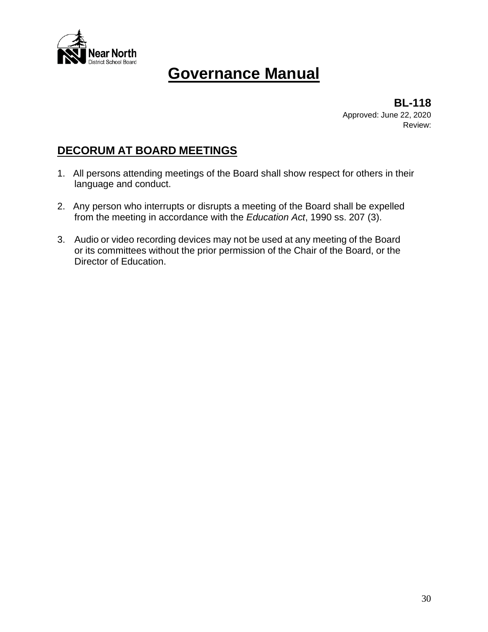

**BL-118** Approved: June 22, 2020 Review:

### **DECORUM AT BOARD MEETINGS**

- 1. All persons attending meetings of the Board shall show respect for others in their language and conduct.
- 2. Any person who interrupts or disrupts a meeting of the Board shall be expelled from the meeting in accordance with the *Education Act*, 1990 ss. 207 (3).
- 3. Audio or video recording devices may not be used at any meeting of the Board or its committees without the prior permission of the Chair of the Board, or the Director of Education.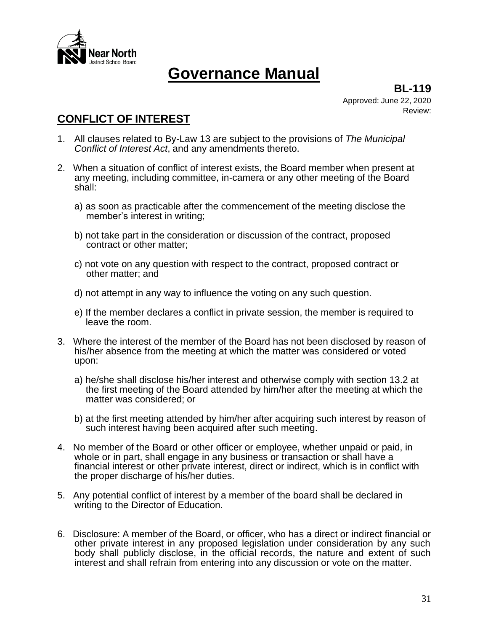

**BL-119** Approved: June 22, 2020 Review:

### **CONFLICT OF INTEREST**

- 1. All clauses related to By-Law 13 are subject to the provisions of *The Municipal Conflict of Interest Act*, and any amendments thereto.
- 2. When a situation of conflict of interest exists, the Board member when present at any meeting, including committee, in-camera or any other meeting of the Board shall:
	- a) as soon as practicable after the commencement of the meeting disclose the member's interest in writing;
	- b) not take part in the consideration or discussion of the contract, proposed contract or other matter;
	- c) not vote on any question with respect to the contract, proposed contract or other matter; and
	- d) not attempt in any way to influence the voting on any such question.
	- e) If the member declares a conflict in private session, the member is required to leave the room.
- 3. Where the interest of the member of the Board has not been disclosed by reason of his/her absence from the meeting at which the matter was considered or voted upon:
	- a) he/she shall disclose his/her interest and otherwise comply with section 13.2 at the first meeting of the Board attended by him/her after the meeting at which the matter was considered; or
	- b) at the first meeting attended by him/her after acquiring such interest by reason of such interest having been acquired after such meeting.
- 4. No member of the Board or other officer or employee, whether unpaid or paid, in whole or in part, shall engage in any business or transaction or shall have a financial interest or other private interest, direct or indirect, which is in conflict with the proper discharge of his/her duties.
- 5. Any potential conflict of interest by a member of the board shall be declared in writing to the Director of Education.
- 6. Disclosure: A member of the Board, or officer, who has a direct or indirect financial or other private interest in any proposed legislation under consideration by any such body shall publicly disclose, in the official records, the nature and extent of such interest and shall refrain from entering into any discussion or vote on the matter.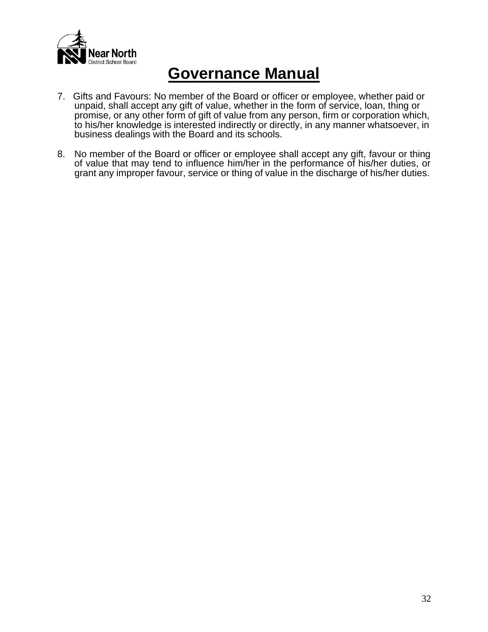

- 7. Gifts and Favours: No member of the Board or officer or employee, whether paid or unpaid, shall accept any gift of value, whether in the form of service, loan, thing or promise, or any other form of gift of value from any person, firm or corporation which, to his/her knowledge is interested indirectly or directly, in any manner whatsoever, in business dealings with the Board and its schools.
- 8. No member of the Board or officer or employee shall accept any gift, favour or thing of value that may tend to influence him/her in the performance of his/her duties, or grant any improper favour, service or thing of value in the discharge of his/her duties.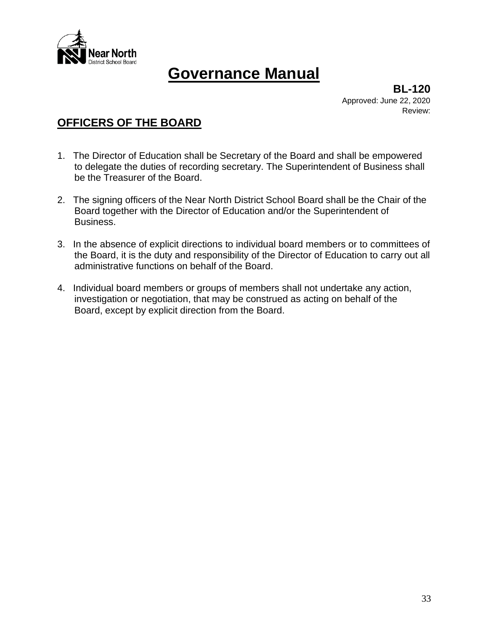

**BL-120** Approved: June 22, 2020 Review:

### **OFFICERS OF THE BOARD**

- 1. The Director of Education shall be Secretary of the Board and shall be empowered to delegate the duties of recording secretary. The Superintendent of Business shall be the Treasurer of the Board.
- 2. The signing officers of the Near North District School Board shall be the Chair of the Board together with the Director of Education and/or the Superintendent of Business.
- 3. In the absence of explicit directions to individual board members or to committees of the Board, it is the duty and responsibility of the Director of Education to carry out all administrative functions on behalf of the Board.
- 4. Individual board members or groups of members shall not undertake any action, investigation or negotiation, that may be construed as acting on behalf of the Board, except by explicit direction from the Board.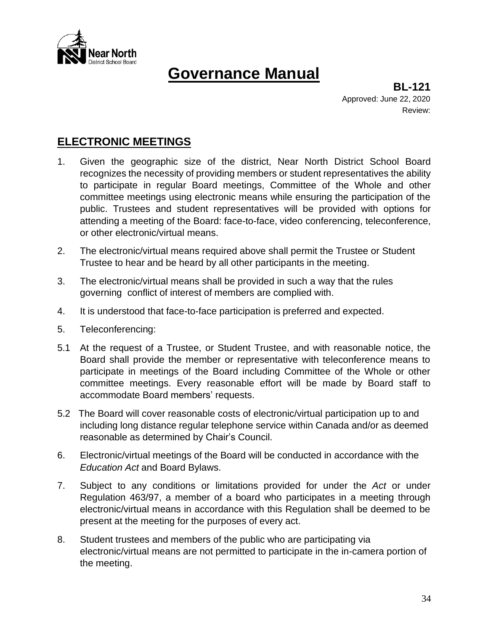

**BL-121** Approved: June 22, 2020 Review:

### **ELECTRONIC MEETINGS**

- 1. Given the geographic size of the district, Near North District School Board recognizes the necessity of providing members or student representatives the ability to participate in regular Board meetings, Committee of the Whole and other committee meetings using electronic means while ensuring the participation of the public. Trustees and student representatives will be provided with options for attending a meeting of the Board: face-to-face, video conferencing, teleconference, or other electronic/virtual means.
- 2. The electronic/virtual means required above shall permit the Trustee or Student Trustee to hear and be heard by all other participants in the meeting.
- 3. The electronic/virtual means shall be provided in such a way that the rules governing conflict of interest of members are complied with.
- 4. It is understood that face-to-face participation is preferred and expected.
- 5. Teleconferencing:
- 5.1 At the request of a Trustee, or Student Trustee, and with reasonable notice, the Board shall provide the member or representative with teleconference means to participate in meetings of the Board including Committee of the Whole or other committee meetings. Every reasonable effort will be made by Board staff to accommodate Board members' requests.
- 5.2 The Board will cover reasonable costs of electronic/virtual participation up to and including long distance regular telephone service within Canada and/or as deemed reasonable as determined by Chair's Council.
- 6. Electronic/virtual meetings of the Board will be conducted in accordance with the *Education Act* and Board Bylaws.
- 7. Subject to any conditions or limitations provided for under the *Act* or under Regulation 463/97, a member of a board who participates in a meeting through electronic/virtual means in accordance with this Regulation shall be deemed to be present at the meeting for the purposes of every act.
- 8. Student trustees and members of the public who are participating via electronic/virtual means are not permitted to participate in the in-camera portion of the meeting.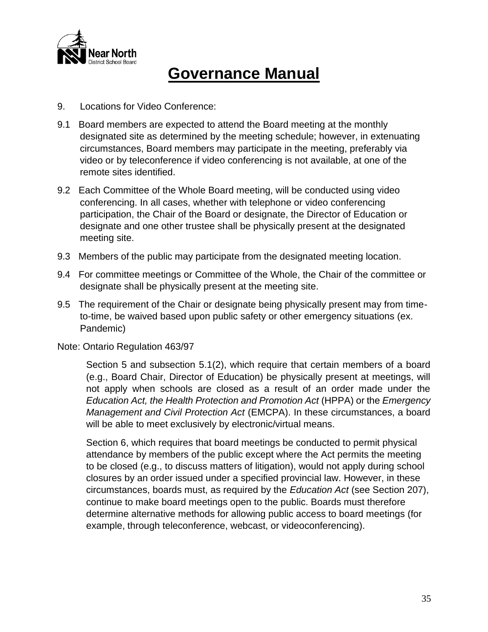

- 9. Locations for Video Conference:
- 9.1 Board members are expected to attend the Board meeting at the monthly designated site as determined by the meeting schedule; however, in extenuating circumstances, Board members may participate in the meeting, preferably via video or by teleconference if video conferencing is not available, at one of the remote sites identified.
- 9.2 Each Committee of the Whole Board meeting, will be conducted using video conferencing. In all cases, whether with telephone or video conferencing participation, the Chair of the Board or designate, the Director of Education or designate and one other trustee shall be physically present at the designated meeting site.
- 9.3 Members of the public may participate from the designated meeting location.
- 9.4 For committee meetings or Committee of the Whole, the Chair of the committee or designate shall be physically present at the meeting site.
- 9.5 The requirement of the Chair or designate being physically present may from timeto-time, be waived based upon public safety or other emergency situations (ex. Pandemic)
- Note: Ontario Regulation 463/97

Section 5 and subsection 5.1(2), which require that certain members of a board (e.g., Board Chair, Director of Education) be physically present at meetings, will not apply when schools are closed as a result of an order made under the *Education Act, the Health Protection and Promotion Act* (HPPA) or the *Emergency Management and Civil Protection Act* (EMCPA). In these circumstances, a board will be able to meet exclusively by electronic/virtual means.

Section 6, which requires that board meetings be conducted to permit physical attendance by members of the public except where the Act permits the meeting to be closed (e.g., to discuss matters of litigation), would not apply during school closures by an order issued under a specified provincial law. However, in these circumstances, boards must, as required by the *Education Act* (see Section 207), continue to make board meetings open to the public. Boards must therefore determine alternative methods for allowing public access to board meetings (for example, through teleconference, webcast, or videoconferencing).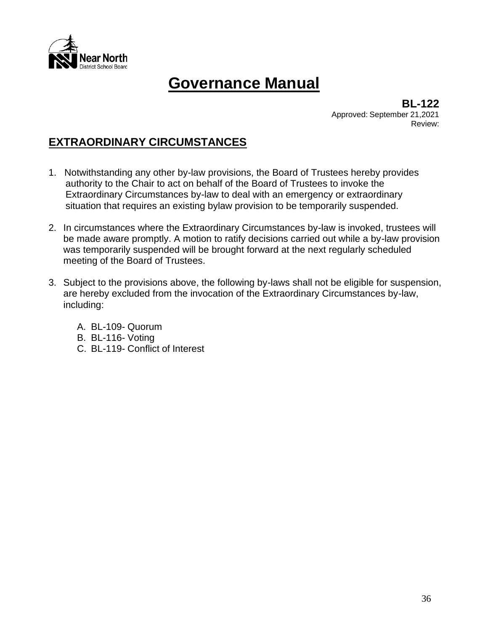

**BL-122** Approved: September 21,2021 Review:

### **EXTRAORDINARY CIRCUMSTANCES**

- 1. Notwithstanding any other by-law provisions, the Board of Trustees hereby provides authority to the Chair to act on behalf of the Board of Trustees to invoke the Extraordinary Circumstances by-law to deal with an emergency or extraordinary situation that requires an existing bylaw provision to be temporarily suspended.
- 2. In circumstances where the Extraordinary Circumstances by-law is invoked, trustees will be made aware promptly. A motion to ratify decisions carried out while a by-law provision was temporarily suspended will be brought forward at the next regularly scheduled meeting of the Board of Trustees.
- 3. Subject to the provisions above, the following by-laws shall not be eligible for suspension, are hereby excluded from the invocation of the Extraordinary Circumstances by-law, including:
	- A. BL-109- Quorum
	- B. BL-116- Voting
	- C. BL-119- Conflict of Interest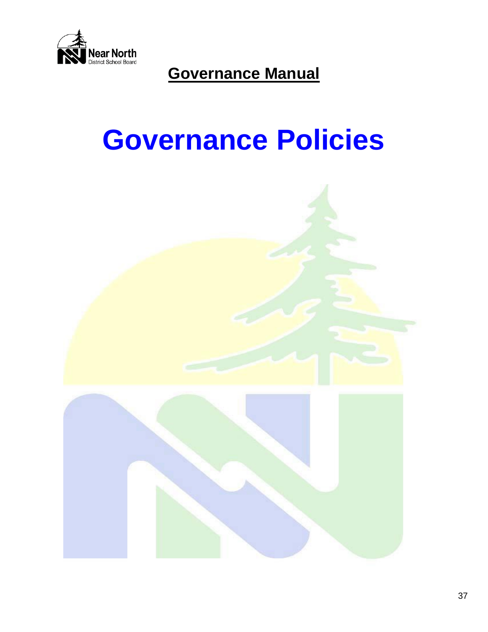

# **Governance Policies**

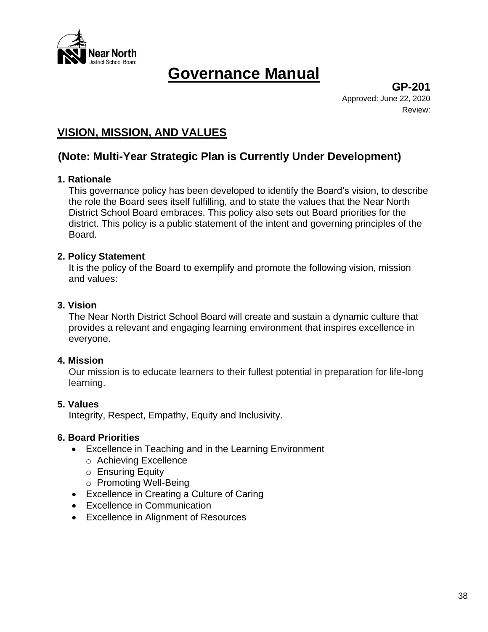

**GP-201** Approved: June 22, 2020 Review:

# **VISION, MISSION, AND VALUES**

# **(Note: Multi-Year Strategic Plan is Currently Under Development)**

# **1. Rationale**

This governance policy has been developed to identify the Board's vision, to describe the role the Board sees itself fulfilling, and to state the values that the Near North District School Board embraces. This policy also sets out Board priorities for the district. This policy is a public statement of the intent and governing principles of the Board.

### **2. Policy Statement**

It is the policy of the Board to exemplify and promote the following vision, mission and values:

### **3. Vision**

The Near North District School Board will create and sustain a dynamic culture that provides a relevant and engaging learning environment that inspires excellence in everyone.

### **4. Mission**

Our mission is to educate learners to their fullest potential in preparation for life-long learning.

### **5. Values**

Integrity, Respect, Empathy, Equity and Inclusivity.

### **6. Board Priorities**

- Excellence in Teaching and in the Learning Environment
	- o Achieving Excellence
	- o Ensuring Equity
	- o Promoting Well-Being
- Excellence in Creating a Culture of Caring
- Excellence in Communication
- Excellence in Alignment of Resources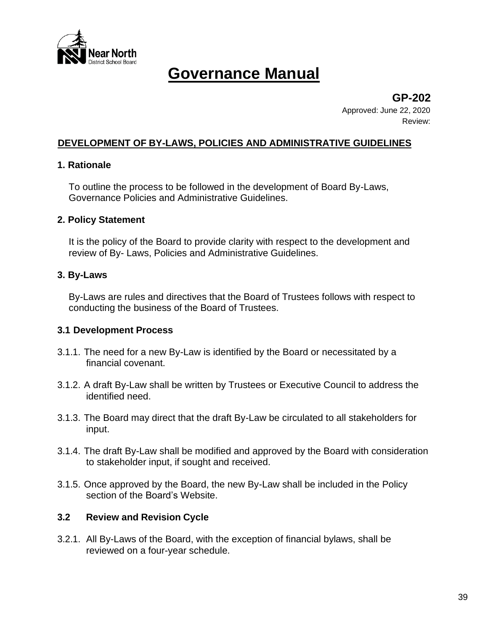

**GP-202** Approved: June 22, 2020

Review:

### **DEVELOPMENT OF BY-LAWS, POLICIES AND ADMINISTRATIVE GUIDELINES**

### **1. Rationale**

To outline the process to be followed in the development of Board By-Laws, Governance Policies and Administrative Guidelines.

### **2. Policy Statement**

It is the policy of the Board to provide clarity with respect to the development and review of By- Laws, Policies and Administrative Guidelines.

# **3. By-Laws**

By-Laws are rules and directives that the Board of Trustees follows with respect to conducting the business of the Board of Trustees.

### **3.1 Development Process**

- 3.1.1. The need for a new By-Law is identified by the Board or necessitated by a financial covenant.
- 3.1.2. A draft By-Law shall be written by Trustees or Executive Council to address the identified need.
- 3.1.3. The Board may direct that the draft By-Law be circulated to all stakeholders for input.
- 3.1.4. The draft By-Law shall be modified and approved by the Board with consideration to stakeholder input, if sought and received.
- 3.1.5. Once approved by the Board, the new By-Law shall be included in the Policy section of the Board's Website.

### **3.2 Review and Revision Cycle**

3.2.1. All By-Laws of the Board, with the exception of financial bylaws, shall be reviewed on a four-year schedule.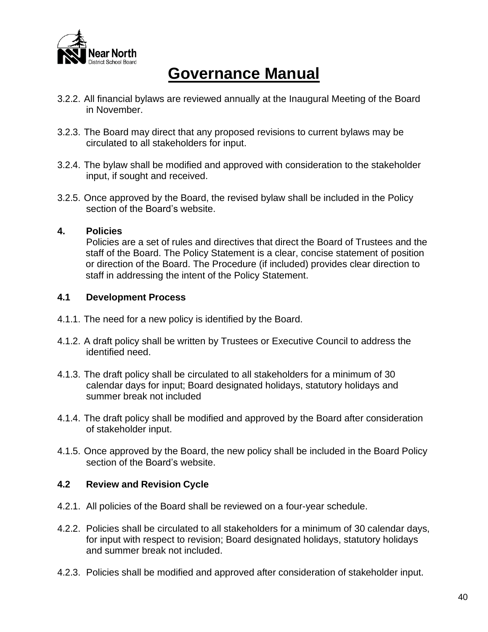

- 3.2.2. All financial bylaws are reviewed annually at the Inaugural Meeting of the Board in November.
- 3.2.3. The Board may direct that any proposed revisions to current bylaws may be circulated to all stakeholders for input.
- 3.2.4. The bylaw shall be modified and approved with consideration to the stakeholder input, if sought and received.
- 3.2.5. Once approved by the Board, the revised bylaw shall be included in the Policy section of the Board's website.

### **4. Policies**

Policies are a set of rules and directives that direct the Board of Trustees and the staff of the Board. The Policy Statement is a clear, concise statement of position or direction of the Board. The Procedure (if included) provides clear direction to staff in addressing the intent of the Policy Statement.

### **4.1 Development Process**

- 4.1.1. The need for a new policy is identified by the Board.
- 4.1.2. A draft policy shall be written by Trustees or Executive Council to address the identified need.
- 4.1.3. The draft policy shall be circulated to all stakeholders for a minimum of 30 calendar days for input; Board designated holidays, statutory holidays and summer break not included
- 4.1.4. The draft policy shall be modified and approved by the Board after consideration of stakeholder input.
- 4.1.5. Once approved by the Board, the new policy shall be included in the Board Policy section of the Board's website.

### **4.2 Review and Revision Cycle**

- 4.2.1. All policies of the Board shall be reviewed on a four-year schedule.
- 4.2.2. Policies shall be circulated to all stakeholders for a minimum of 30 calendar days, for input with respect to revision; Board designated holidays, statutory holidays and summer break not included.
- 4.2.3. Policies shall be modified and approved after consideration of stakeholder input.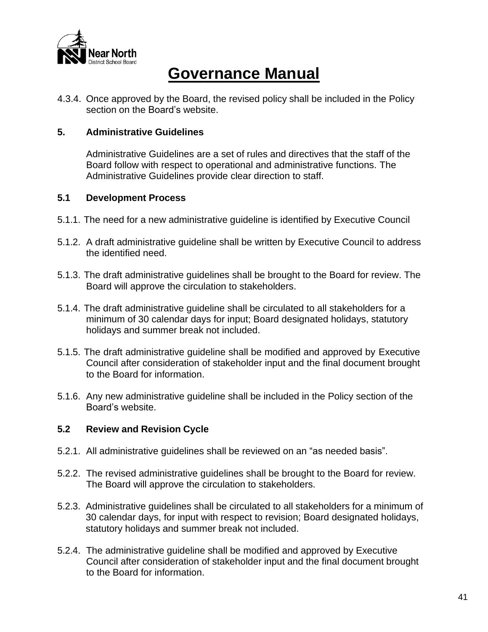

4.3.4. Once approved by the Board, the revised policy shall be included in the Policy section on the Board's website.

#### **5. Administrative Guidelines**

Administrative Guidelines are a set of rules and directives that the staff of the Board follow with respect to operational and administrative functions. The Administrative Guidelines provide clear direction to staff.

#### **5.1 Development Process**

- 5.1.1. The need for a new administrative guideline is identified by Executive Council
- 5.1.2. A draft administrative guideline shall be written by Executive Council to address the identified need.
- 5.1.3. The draft administrative guidelines shall be brought to the Board for review. The Board will approve the circulation to stakeholders.
- 5.1.4. The draft administrative guideline shall be circulated to all stakeholders for a minimum of 30 calendar days for input; Board designated holidays, statutory holidays and summer break not included.
- 5.1.5. The draft administrative guideline shall be modified and approved by Executive Council after consideration of stakeholder input and the final document brought to the Board for information.
- 5.1.6. Any new administrative guideline shall be included in the Policy section of the Board's website.

### **5.2 Review and Revision Cycle**

- 5.2.1. All administrative guidelines shall be reviewed on an "as needed basis".
- 5.2.2. The revised administrative guidelines shall be brought to the Board for review. The Board will approve the circulation to stakeholders.
- 5.2.3. Administrative guidelines shall be circulated to all stakeholders for a minimum of 30 calendar days, for input with respect to revision; Board designated holidays, statutory holidays and summer break not included.
- 5.2.4. The administrative guideline shall be modified and approved by Executive Council after consideration of stakeholder input and the final document brought to the Board for information.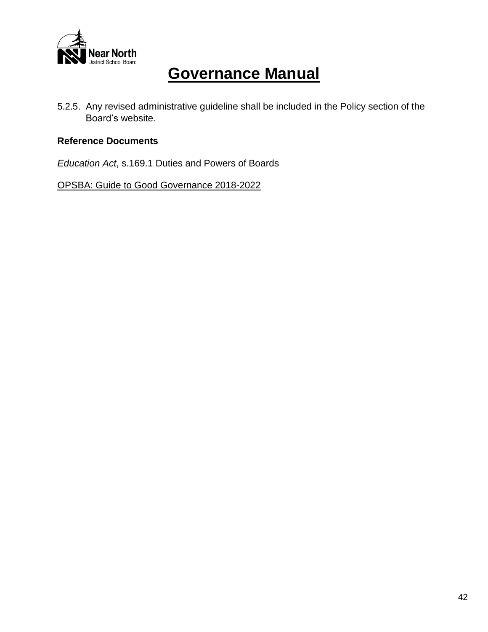

5.2.5. Any revised administrative guideline shall be included in the Policy section of the Board's website.

# **Reference Documents**

*Education Act*, s.169.1 Duties and Powers of Boards

OPSBA: Guide to Good Governance 2018-2022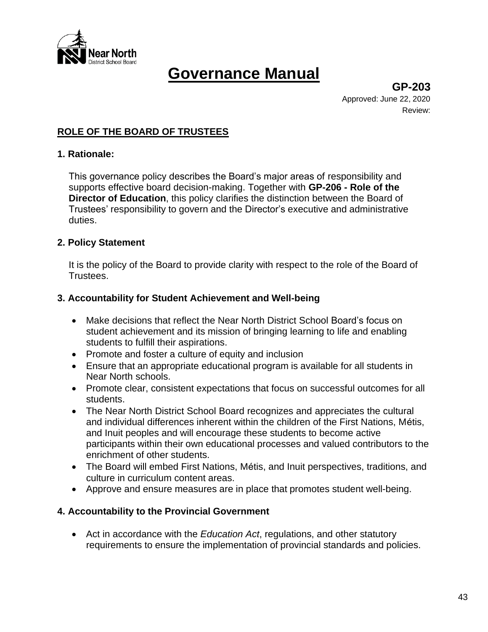

**GP-203** Approved: June 22, 2020 Review:

# **ROLE OF THE BOARD OF TRUSTEES**

#### **1. Rationale:**

This governance policy describes the Board's major areas of responsibility and supports effective board decision-making. Together with **GP-206 - Role of the Director of Education**, this policy clarifies the distinction between the Board of Trustees' responsibility to govern and the Director's executive and administrative duties.

### **2. Policy Statement**

It is the policy of the Board to provide clarity with respect to the role of the Board of Trustees.

#### **3. Accountability for Student Achievement and Well-being**

- Make decisions that reflect the Near North District School Board's focus on student achievement and its mission of bringing learning to life and enabling students to fulfill their aspirations.
- Promote and foster a culture of equity and inclusion
- Ensure that an appropriate educational program is available for all students in Near North schools.
- Promote clear, consistent expectations that focus on successful outcomes for all students.
- The Near North District School Board recognizes and appreciates the cultural and individual differences inherent within the children of the First Nations, Métis, and Inuit peoples and will encourage these students to become active participants within their own educational processes and valued contributors to the enrichment of other students.
- The Board will embed First Nations, Métis, and Inuit perspectives, traditions, and culture in curriculum content areas.
- Approve and ensure measures are in place that promotes student well-being.

### **4. Accountability to the Provincial Government**

• Act in accordance with the *Education Act*, regulations, and other statutory requirements to ensure the implementation of provincial standards and policies.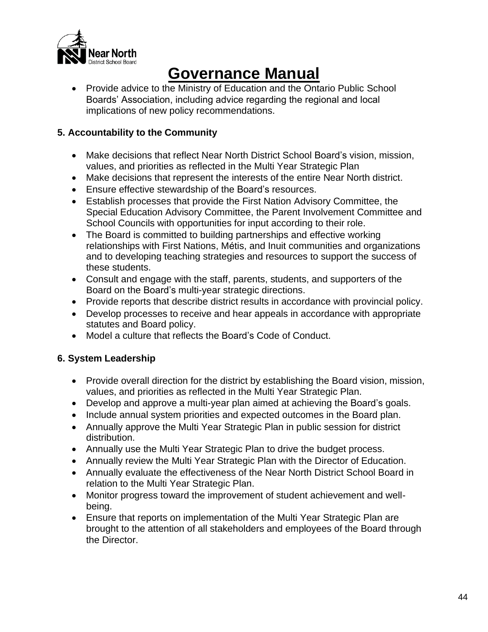

• Provide advice to the Ministry of Education and the Ontario Public School Boards' Association, including advice regarding the regional and local implications of new policy recommendations.

# **5. Accountability to the Community**

- Make decisions that reflect Near North District School Board's vision, mission, values, and priorities as reflected in the Multi Year Strategic Plan
- Make decisions that represent the interests of the entire Near North district.
- Ensure effective stewardship of the Board's resources.
- Establish processes that provide the First Nation Advisory Committee, the Special Education Advisory Committee, the Parent Involvement Committee and School Councils with opportunities for input according to their role.
- The Board is committed to building partnerships and effective working relationships with First Nations, Métis, and Inuit communities and organizations and to developing teaching strategies and resources to support the success of these students.
- Consult and engage with the staff, parents, students, and supporters of the Board on the Board's multi-year strategic directions.
- Provide reports that describe district results in accordance with provincial policy.
- Develop processes to receive and hear appeals in accordance with appropriate statutes and Board policy.
- Model a culture that reflects the Board's Code of Conduct.

# **6. System Leadership**

- Provide overall direction for the district by establishing the Board vision, mission, values, and priorities as reflected in the Multi Year Strategic Plan.
- Develop and approve a multi-year plan aimed at achieving the Board's goals.
- Include annual system priorities and expected outcomes in the Board plan.
- Annually approve the Multi Year Strategic Plan in public session for district distribution.
- Annually use the Multi Year Strategic Plan to drive the budget process.
- Annually review the Multi Year Strategic Plan with the Director of Education.
- Annually evaluate the effectiveness of the Near North District School Board in relation to the Multi Year Strategic Plan.
- Monitor progress toward the improvement of student achievement and wellbeing.
- Ensure that reports on implementation of the Multi Year Strategic Plan are brought to the attention of all stakeholders and employees of the Board through the Director.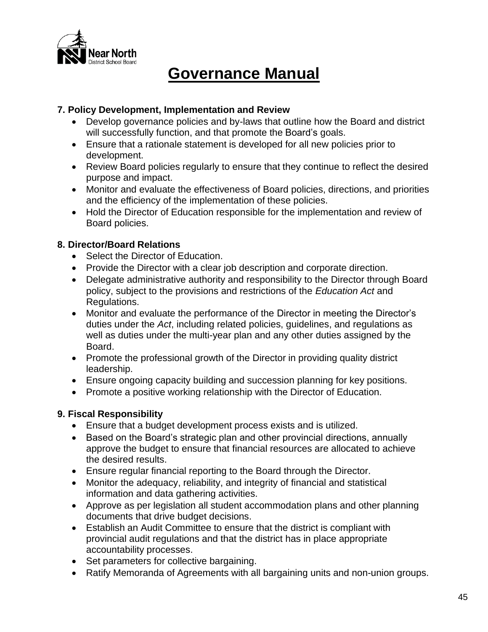

# **7. Policy Development, Implementation and Review**

- Develop governance policies and by-laws that outline how the Board and district will successfully function, and that promote the Board's goals.
- Ensure that a rationale statement is developed for all new policies prior to development.
- Review Board policies regularly to ensure that they continue to reflect the desired purpose and impact.
- Monitor and evaluate the effectiveness of Board policies, directions, and priorities and the efficiency of the implementation of these policies.
- Hold the Director of Education responsible for the implementation and review of Board policies.

# **8. Director/Board Relations**

- Select the Director of Education.
- Provide the Director with a clear job description and corporate direction.
- Delegate administrative authority and responsibility to the Director through Board policy, subject to the provisions and restrictions of the *Education Act* and Regulations.
- Monitor and evaluate the performance of the Director in meeting the Director's duties under the *Act*, including related policies, guidelines, and regulations as well as duties under the multi-year plan and any other duties assigned by the Board.
- Promote the professional growth of the Director in providing quality district leadership.
- Ensure ongoing capacity building and succession planning for key positions.
- Promote a positive working relationship with the Director of Education.

# **9. Fiscal Responsibility**

- Ensure that a budget development process exists and is utilized.
- Based on the Board's strategic plan and other provincial directions, annually approve the budget to ensure that financial resources are allocated to achieve the desired results.
- Ensure regular financial reporting to the Board through the Director.
- Monitor the adequacy, reliability, and integrity of financial and statistical information and data gathering activities.
- Approve as per legislation all student accommodation plans and other planning documents that drive budget decisions.
- Establish an Audit Committee to ensure that the district is compliant with provincial audit regulations and that the district has in place appropriate accountability processes.
- Set parameters for collective bargaining.
- Ratify Memoranda of Agreements with all bargaining units and non-union groups.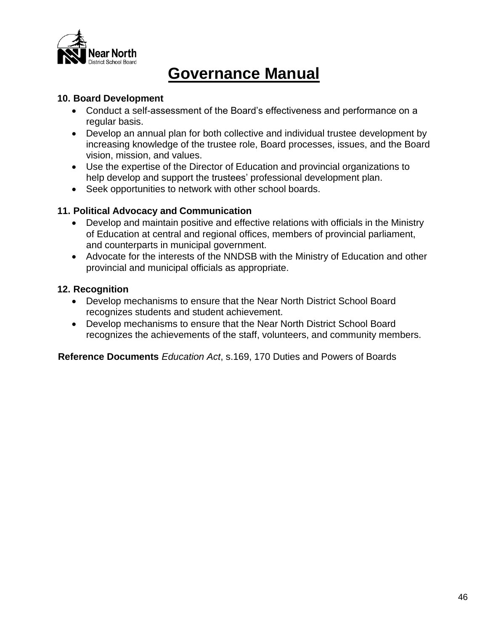

### **10. Board Development**

- Conduct a self-assessment of the Board's effectiveness and performance on a regular basis.
- Develop an annual plan for both collective and individual trustee development by increasing knowledge of the trustee role, Board processes, issues, and the Board vision, mission, and values.
- Use the expertise of the Director of Education and provincial organizations to help develop and support the trustees' professional development plan.
- Seek opportunities to network with other school boards.

# **11. Political Advocacy and Communication**

- Develop and maintain positive and effective relations with officials in the Ministry of Education at central and regional offices, members of provincial parliament, and counterparts in municipal government.
- Advocate for the interests of the NNDSB with the Ministry of Education and other provincial and municipal officials as appropriate.

# **12. Recognition**

- Develop mechanisms to ensure that the Near North District School Board recognizes students and student achievement.
- Develop mechanisms to ensure that the Near North District School Board recognizes the achievements of the staff, volunteers, and community members.

**Reference Documents** *Education Act*, s.169, 170 Duties and Powers of Boards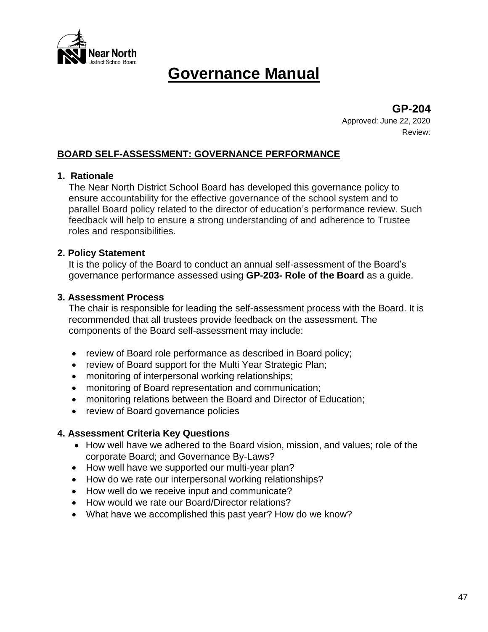

**GP-204**

Approved: June 22, 2020 Review:

# **BOARD SELF-ASSESSMENT: GOVERNANCE PERFORMANCE**

### **1. Rationale**

The Near North District School Board has developed this governance policy to ensure accountability for the effective governance of the school system and to parallel Board policy related to the director of education's performance review. Such feedback will help to ensure a strong understanding of and adherence to Trustee roles and responsibilities.

#### **2. Policy Statement**

It is the policy of the Board to conduct an annual self-assessment of the Board's governance performance assessed using **GP-203- Role of the Board** as a guide.

#### **3. Assessment Process**

The chair is responsible for leading the self-assessment process with the Board. It is recommended that all trustees provide feedback on the assessment. The components of the Board self-assessment may include:

- review of Board role performance as described in Board policy;
- review of Board support for the Multi Year Strategic Plan;
- monitoring of interpersonal working relationships;
- monitoring of Board representation and communication;
- monitoring relations between the Board and Director of Education;
- review of Board governance policies

### **4. Assessment Criteria Key Questions**

- How well have we adhered to the Board vision, mission, and values; role of the corporate Board; and Governance By-Laws?
- How well have we supported our multi-year plan?
- How do we rate our interpersonal working relationships?
- How well do we receive input and communicate?
- How would we rate our Board/Director relations?
- What have we accomplished this past year? How do we know?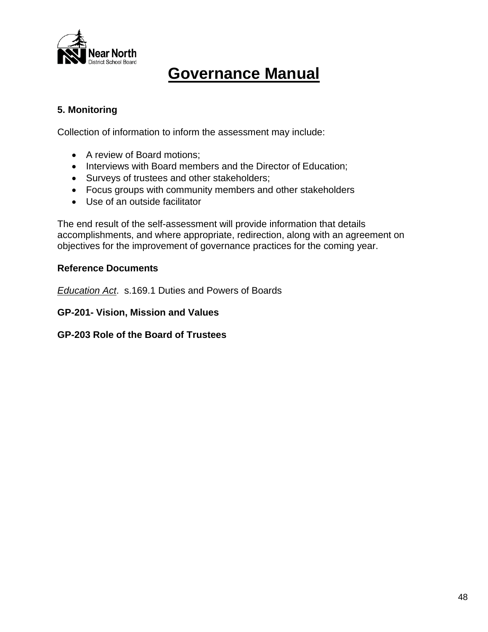

# **5. Monitoring**

Collection of information to inform the assessment may include:

- A review of Board motions;
- Interviews with Board members and the Director of Education;
- Surveys of trustees and other stakeholders;
- Focus groups with community members and other stakeholders
- Use of an outside facilitator

The end result of the self-assessment will provide information that details accomplishments, and where appropriate, redirection, along with an agreement on objectives for the improvement of governance practices for the coming year.

# **Reference Documents**

*Education Act*. s.169.1 Duties and Powers of Boards

**GP-201- Vision, Mission and Values**

**GP-203 Role of the Board of Trustees**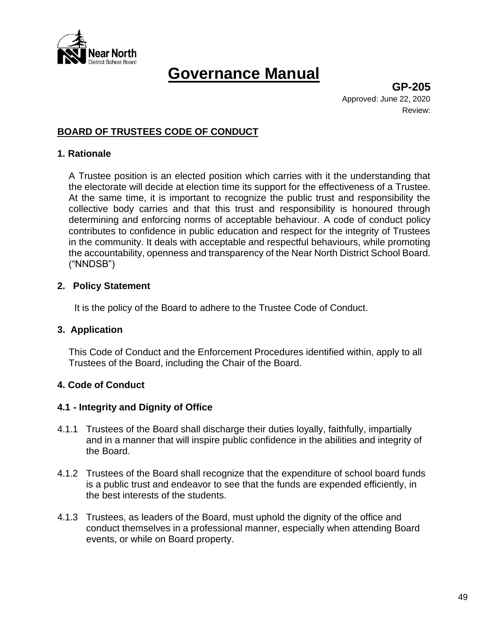

**GP-205** Approved: June 22, 2020 Review:

# **BOARD OF TRUSTEES CODE OF CONDUCT**

#### **1. Rationale**

A Trustee position is an elected position which carries with it the understanding that the electorate will decide at election time its support for the effectiveness of a Trustee. At the same time, it is important to recognize the public trust and responsibility the collective body carries and that this trust and responsibility is honoured through determining and enforcing norms of acceptable behaviour. A code of conduct policy contributes to confidence in public education and respect for the integrity of Trustees in the community. It deals with acceptable and respectful behaviours, while promoting the accountability, openness and transparency of the Near North District School Board. ("NNDSB")

#### **2. Policy Statement**

It is the policy of the Board to adhere to the Trustee Code of Conduct.

#### **3. Application**

This Code of Conduct and the Enforcement Procedures identified within, apply to all Trustees of the Board, including the Chair of the Board.

### **4. Code of Conduct**

### **4.1 - Integrity and Dignity of Office**

- 4.1.1 Trustees of the Board shall discharge their duties loyally, faithfully, impartially and in a manner that will inspire public confidence in the abilities and integrity of the Board.
- 4.1.2 Trustees of the Board shall recognize that the expenditure of school board funds is a public trust and endeavor to see that the funds are expended efficiently, in the best interests of the students.
- 4.1.3 Trustees, as leaders of the Board, must uphold the dignity of the office and conduct themselves in a professional manner, especially when attending Board events, or while on Board property.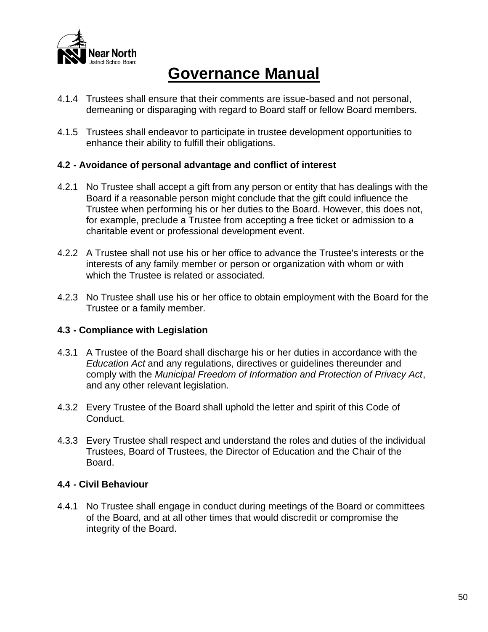

- 4.1.4 Trustees shall ensure that their comments are issue-based and not personal, demeaning or disparaging with regard to Board staff or fellow Board members.
- 4.1.5 Trustees shall endeavor to participate in trustee development opportunities to enhance their ability to fulfill their obligations.

# **4.2 - Avoidance of personal advantage and conflict of interest**

- 4.2.1 No Trustee shall accept a gift from any person or entity that has dealings with the Board if a reasonable person might conclude that the gift could influence the Trustee when performing his or her duties to the Board. However, this does not, for example, preclude a Trustee from accepting a free ticket or admission to a charitable event or professional development event.
- 4.2.2 A Trustee shall not use his or her office to advance the Trustee's interests or the interests of any family member or person or organization with whom or with which the Trustee is related or associated.
- 4.2.3 No Trustee shall use his or her office to obtain employment with the Board for the Trustee or a family member.

### **4.3 - Compliance with Legislation**

- 4.3.1 A Trustee of the Board shall discharge his or her duties in accordance with the *Education Act* and any regulations, directives or guidelines thereunder and comply with the *Municipal Freedom of Information and Protection of Privacy Act*, and any other relevant legislation.
- 4.3.2 Every Trustee of the Board shall uphold the letter and spirit of this Code of Conduct.
- 4.3.3 Every Trustee shall respect and understand the roles and duties of the individual Trustees, Board of Trustees, the Director of Education and the Chair of the Board.

### **4.4 - Civil Behaviour**

4.4.1 No Trustee shall engage in conduct during meetings of the Board or committees of the Board, and at all other times that would discredit or compromise the integrity of the Board.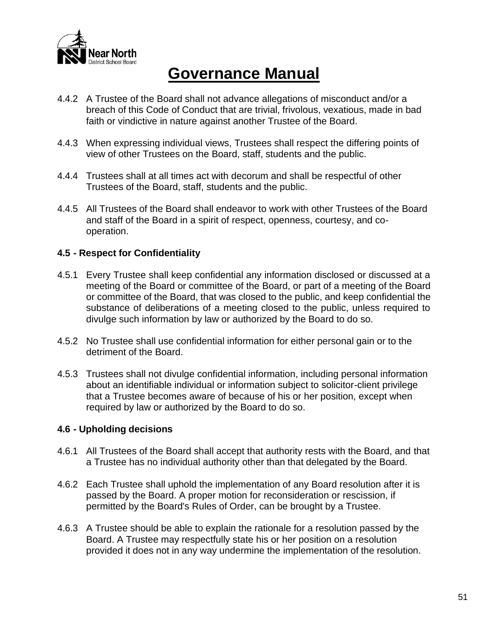

- 4.4.2 A Trustee of the Board shall not advance allegations of misconduct and/or a breach of this Code of Conduct that are trivial, frivolous, vexatious, made in bad faith or vindictive in nature against another Trustee of the Board.
- 4.4.3 When expressing individual views, Trustees shall respect the differing points of view of other Trustees on the Board, staff, students and the public.
- 4.4.4 Trustees shall at all times act with decorum and shall be respectful of other Trustees of the Board, staff, students and the public.
- 4.4.5 All Trustees of the Board shall endeavor to work with other Trustees of the Board and staff of the Board in a spirit of respect, openness, courtesy, and cooperation.

# **4.5 - Respect for Confidentiality**

- 4.5.1 Every Trustee shall keep confidential any information disclosed or discussed at a meeting of the Board or committee of the Board, or part of a meeting of the Board or committee of the Board, that was closed to the public, and keep confidential the substance of deliberations of a meeting closed to the public, unless required to divulge such information by law or authorized by the Board to do so.
- 4.5.2 No Trustee shall use confidential information for either personal gain or to the detriment of the Board.
- 4.5.3 Trustees shall not divulge confidential information, including personal information about an identifiable individual or information subject to solicitor-client privilege that a Trustee becomes aware of because of his or her position, except when required by law or authorized by the Board to do so.

### **4.6 - Upholding decisions**

- 4.6.1 All Trustees of the Board shall accept that authority rests with the Board, and that a Trustee has no individual authority other than that delegated by the Board.
- 4.6.2 Each Trustee shall uphold the implementation of any Board resolution after it is passed by the Board. A proper motion for reconsideration or rescission, if permitted by the Board's Rules of Order, can be brought by a Trustee.
- 4.6.3 A Trustee should be able to explain the rationale for a resolution passed by the Board. A Trustee may respectfully state his or her position on a resolution provided it does not in any way undermine the implementation of the resolution.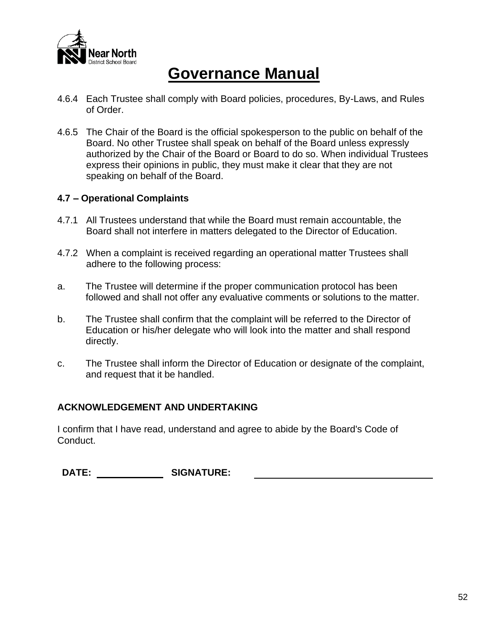

- 4.6.4 Each Trustee shall comply with Board policies, procedures, By-Laws, and Rules of Order.
- 4.6.5 The Chair of the Board is the official spokesperson to the public on behalf of the Board. No other Trustee shall speak on behalf of the Board unless expressly authorized by the Chair of the Board or Board to do so. When individual Trustees express their opinions in public, they must make it clear that they are not speaking on behalf of the Board.

### **4.7 – Operational Complaints**

- 4.7.1 All Trustees understand that while the Board must remain accountable, the Board shall not interfere in matters delegated to the Director of Education.
- 4.7.2 When a complaint is received regarding an operational matter Trustees shall adhere to the following process:
- a. The Trustee will determine if the proper communication protocol has been followed and shall not offer any evaluative comments or solutions to the matter.
- b. The Trustee shall confirm that the complaint will be referred to the Director of Education or his/her delegate who will look into the matter and shall respond directly.
- c. The Trustee shall inform the Director of Education or designate of the complaint, and request that it be handled.

### **ACKNOWLEDGEMENT AND UNDERTAKING**

I confirm that I have read, understand and agree to abide by the Board's Code of Conduct.

**DATE: SIGNATURE:**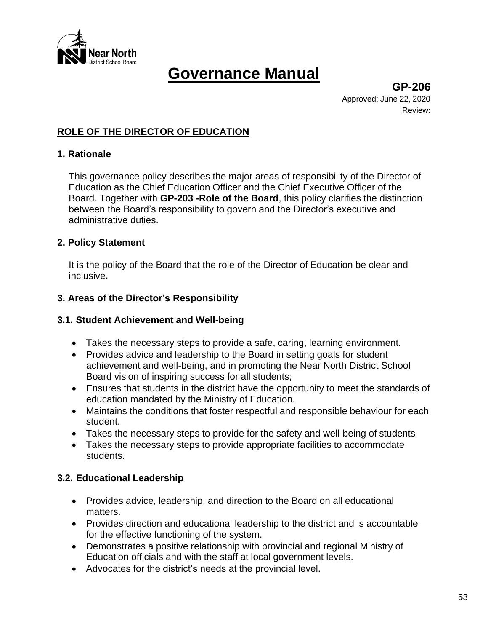

**GP-206** Approved: June 22, 2020 Review:

# **ROLE OF THE DIRECTOR OF EDUCATION**

#### **1. Rationale**

This governance policy describes the major areas of responsibility of the Director of Education as the Chief Education Officer and the Chief Executive Officer of the Board. Together with **GP-203 -Role of the Board**, this policy clarifies the distinction between the Board's responsibility to govern and the Director's executive and administrative duties.

#### **2. Policy Statement**

It is the policy of the Board that the role of the Director of Education be clear and inclusive**.**

#### **3. Areas of the Director's Responsibility**

#### **3.1. Student Achievement and Well-being**

- Takes the necessary steps to provide a safe, caring, learning environment.
- Provides advice and leadership to the Board in setting goals for student achievement and well-being, and in promoting the Near North District School Board vision of inspiring success for all students;
- Ensures that students in the district have the opportunity to meet the standards of education mandated by the Ministry of Education.
- Maintains the conditions that foster respectful and responsible behaviour for each student.
- Takes the necessary steps to provide for the safety and well-being of students
- Takes the necessary steps to provide appropriate facilities to accommodate students.

### **3.2. Educational Leadership**

- Provides advice, leadership, and direction to the Board on all educational matters.
- Provides direction and educational leadership to the district and is accountable for the effective functioning of the system.
- Demonstrates a positive relationship with provincial and regional Ministry of Education officials and with the staff at local government levels.
- Advocates for the district's needs at the provincial level.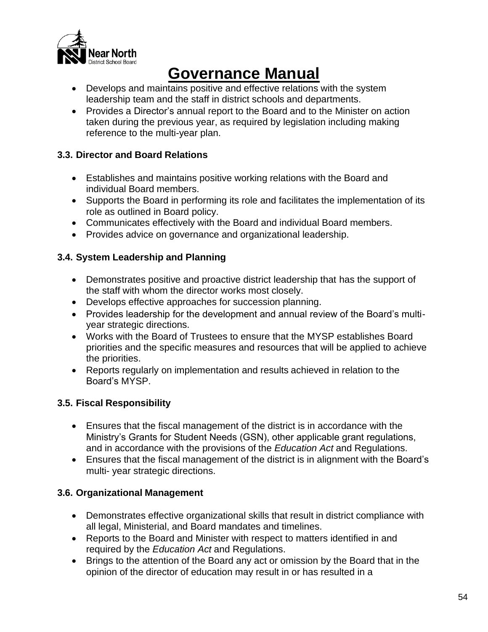

- Develops and maintains positive and effective relations with the system leadership team and the staff in district schools and departments.
- Provides a Director's annual report to the Board and to the Minister on action taken during the previous year, as required by legislation including making reference to the multi-year plan.

# **3.3. Director and Board Relations**

- Establishes and maintains positive working relations with the Board and individual Board members.
- Supports the Board in performing its role and facilitates the implementation of its role as outlined in Board policy.
- Communicates effectively with the Board and individual Board members.
- Provides advice on governance and organizational leadership.

# **3.4. System Leadership and Planning**

- Demonstrates positive and proactive district leadership that has the support of the staff with whom the director works most closely.
- Develops effective approaches for succession planning.
- Provides leadership for the development and annual review of the Board's multiyear strategic directions.
- Works with the Board of Trustees to ensure that the MYSP establishes Board priorities and the specific measures and resources that will be applied to achieve the priorities.
- Reports regularly on implementation and results achieved in relation to the Board's MYSP.

# **3.5. Fiscal Responsibility**

- Ensures that the fiscal management of the district is in accordance with the Ministry's Grants for Student Needs (GSN), other applicable grant regulations, and in accordance with the provisions of the *Education Act* and Regulations.
- Ensures that the fiscal management of the district is in alignment with the Board's multi- year strategic directions.

# **3.6. Organizational Management**

- Demonstrates effective organizational skills that result in district compliance with all legal, Ministerial, and Board mandates and timelines.
- Reports to the Board and Minister with respect to matters identified in and required by the *Education Act* and Regulations.
- Brings to the attention of the Board any act or omission by the Board that in the opinion of the director of education may result in or has resulted in a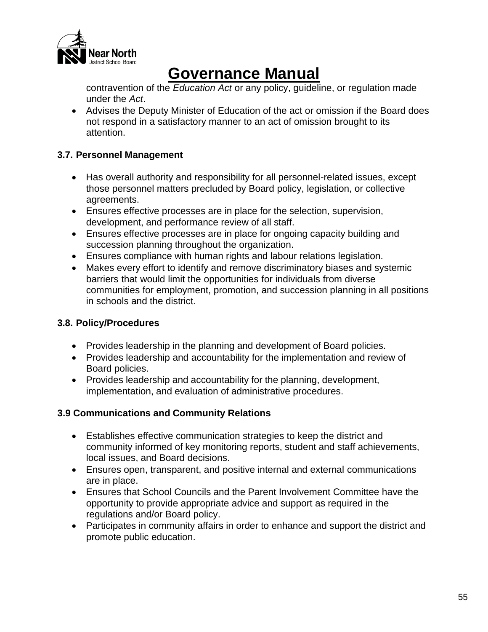

contravention of the *Education Act* or any policy, guideline, or regulation made under the *Act*.

• Advises the Deputy Minister of Education of the act or omission if the Board does not respond in a satisfactory manner to an act of omission brought to its attention.

# **3.7. Personnel Management**

- Has overall authority and responsibility for all personnel-related issues, except those personnel matters precluded by Board policy, legislation, or collective agreements.
- Ensures effective processes are in place for the selection, supervision, development, and performance review of all staff.
- Ensures effective processes are in place for ongoing capacity building and succession planning throughout the organization.
- Ensures compliance with human rights and labour relations legislation.
- Makes every effort to identify and remove discriminatory biases and systemic barriers that would limit the opportunities for individuals from diverse communities for employment, promotion, and succession planning in all positions in schools and the district.

# **3.8. Policy/Procedures**

- Provides leadership in the planning and development of Board policies.
- Provides leadership and accountability for the implementation and review of Board policies.
- Provides leadership and accountability for the planning, development, implementation, and evaluation of administrative procedures.

# **3.9 Communications and Community Relations**

- Establishes effective communication strategies to keep the district and community informed of key monitoring reports, student and staff achievements, local issues, and Board decisions.
- Ensures open, transparent, and positive internal and external communications are in place.
- Ensures that School Councils and the Parent Involvement Committee have the opportunity to provide appropriate advice and support as required in the regulations and/or Board policy.
- Participates in community affairs in order to enhance and support the district and promote public education.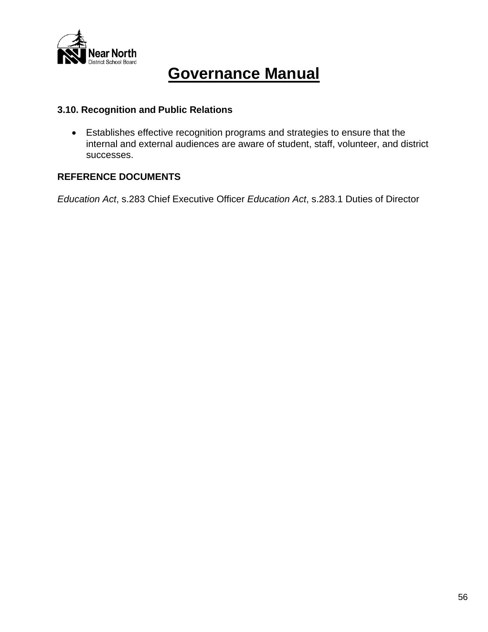

# **3.10. Recognition and Public Relations**

• Establishes effective recognition programs and strategies to ensure that the internal and external audiences are aware of student, staff, volunteer, and district successes.

# **REFERENCE DOCUMENTS**

*Education Act*, s.283 Chief Executive Officer *Education Act*, s.283.1 Duties of Director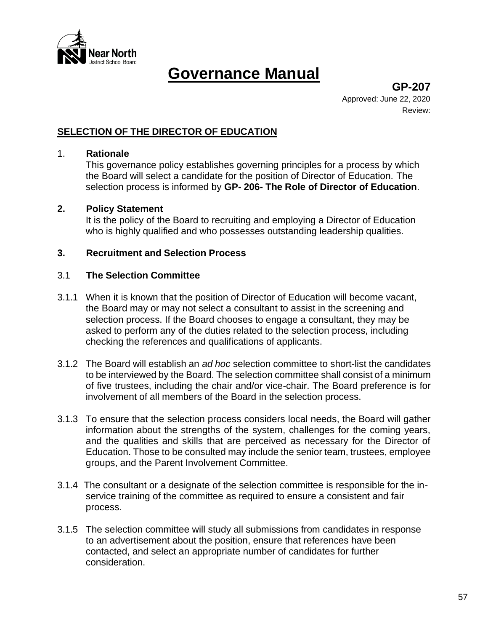

**GP-207** Approved: June 22, 2020 Review:

# **SELECTION OF THE DIRECTOR OF EDUCATION**

#### 1. **Rationale**

This governance policy establishes governing principles for a process by which the Board will select a candidate for the position of Director of Education. The selection process is informed by **GP- 206- The Role of Director of Education**.

#### **2. Policy Statement**

It is the policy of the Board to recruiting and employing a Director of Education who is highly qualified and who possesses outstanding leadership qualities.

### **3. Recruitment and Selection Process**

#### 3.1 **The Selection Committee**

- 3.1.1 When it is known that the position of Director of Education will become vacant, the Board may or may not select a consultant to assist in the screening and selection process. If the Board chooses to engage a consultant, they may be asked to perform any of the duties related to the selection process, including checking the references and qualifications of applicants.
- 3.1.2 The Board will establish an *ad hoc* selection committee to short-list the candidates to be interviewed by the Board. The selection committee shall consist of a minimum of five trustees, including the chair and/or vice-chair. The Board preference is for involvement of all members of the Board in the selection process.
- 3.1.3 To ensure that the selection process considers local needs, the Board will gather information about the strengths of the system, challenges for the coming years, and the qualities and skills that are perceived as necessary for the Director of Education. Those to be consulted may include the senior team, trustees, employee groups, and the Parent Involvement Committee.
- 3.1.4 The consultant or a designate of the selection committee is responsible for the inservice training of the committee as required to ensure a consistent and fair process.
- 3.1.5 The selection committee will study all submissions from candidates in response to an advertisement about the position, ensure that references have been contacted, and select an appropriate number of candidates for further consideration.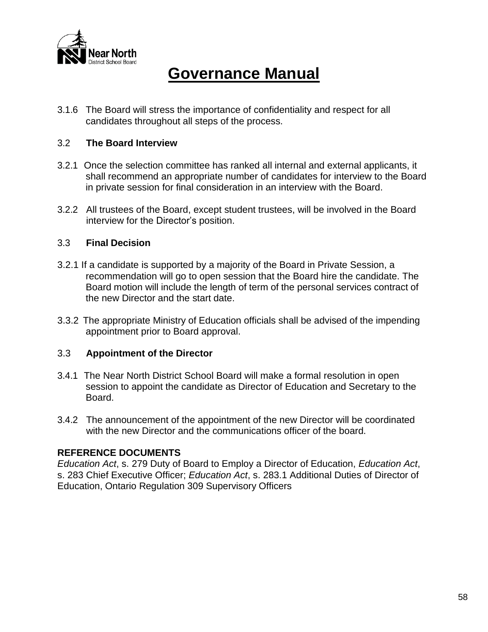

3.1.6 The Board will stress the importance of confidentiality and respect for all candidates throughout all steps of the process.

### 3.2 **The Board Interview**

- 3.2.1 Once the selection committee has ranked all internal and external applicants, it shall recommend an appropriate number of candidates for interview to the Board in private session for final consideration in an interview with the Board.
- 3.2.2 All trustees of the Board, except student trustees, will be involved in the Board interview for the Director's position.

#### 3.3 **Final Decision**

- 3.2.1 If a candidate is supported by a majority of the Board in Private Session, a recommendation will go to open session that the Board hire the candidate. The Board motion will include the length of term of the personal services contract of the new Director and the start date.
- 3.3.2 The appropriate Ministry of Education officials shall be advised of the impending appointment prior to Board approval.

#### 3.3 **Appointment of the Director**

- 3.4.1 The Near North District School Board will make a formal resolution in open session to appoint the candidate as Director of Education and Secretary to the Board.
- 3.4.2 The announcement of the appointment of the new Director will be coordinated with the new Director and the communications officer of the board.

### **REFERENCE DOCUMENTS**

*Education Act*, s. 279 Duty of Board to Employ a Director of Education, *Education Act*, s. 283 Chief Executive Officer; *Education Act*, s. 283.1 Additional Duties of Director of Education, Ontario Regulation 309 Supervisory Officers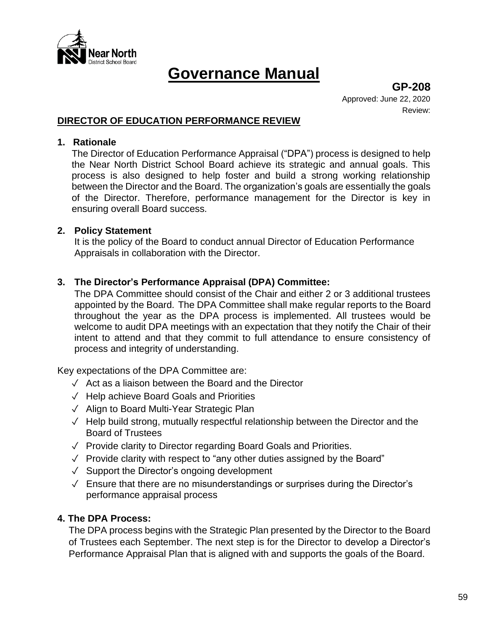

**GP-208** Approved: June 22, 2020 Review:

### **DIRECTOR OF EDUCATION PERFORMANCE REVIEW**

#### **1. Rationale**

The Director of Education Performance Appraisal ("DPA") process is designed to help the Near North District School Board achieve its strategic and annual goals. This process is also designed to help foster and build a strong working relationship between the Director and the Board. The organization's goals are essentially the goals of the Director. Therefore, performance management for the Director is key in ensuring overall Board success.

#### **2. Policy Statement**

It is the policy of the Board to conduct annual Director of Education Performance Appraisals in collaboration with the Director.

### **3. The Director's Performance Appraisal (DPA) Committee:**

The DPA Committee should consist of the Chair and either 2 or 3 additional trustees appointed by the Board. The DPA Committee shall make regular reports to the Board throughout the year as the DPA process is implemented. All trustees would be welcome to audit DPA meetings with an expectation that they notify the Chair of their intent to attend and that they commit to full attendance to ensure consistency of process and integrity of understanding.

Key expectations of the DPA Committee are:

- ✓ Act as a liaison between the Board and the Director
- ✓ Help achieve Board Goals and Priorities
- ✓ Align to Board Multi-Year Strategic Plan
- ✓ Help build strong, mutually respectful relationship between the Director and the Board of Trustees
- ✓ Provide clarity to Director regarding Board Goals and Priorities.
- $\sqrt{ }$  Provide clarity with respect to "any other duties assigned by the Board"
- ✓ Support the Director's ongoing development
- ✓ Ensure that there are no misunderstandings or surprises during the Director's performance appraisal process

### **4. The DPA Process:**

The DPA process begins with the Strategic Plan presented by the Director to the Board of Trustees each September. The next step is for the Director to develop a Director's Performance Appraisal Plan that is aligned with and supports the goals of the Board.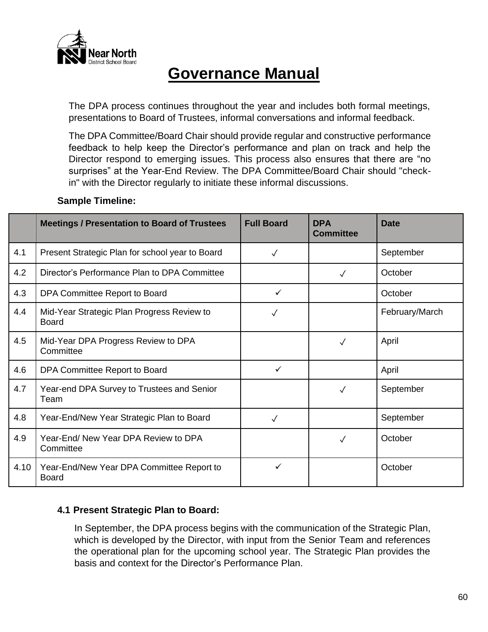

The DPA process continues throughout the year and includes both formal meetings, presentations to Board of Trustees, informal conversations and informal feedback.

The DPA Committee/Board Chair should provide regular and constructive performance feedback to help keep the Director's performance and plan on track and help the Director respond to emerging issues. This process also ensures that there are "no surprises" at the Year-End Review. The DPA Committee/Board Chair should "checkin" with the Director regularly to initiate these informal discussions.

|      | <b>Meetings / Presentation to Board of Trustees</b>        | <b>Full Board</b> | <b>DPA</b><br><b>Committee</b> | <b>Date</b>    |
|------|------------------------------------------------------------|-------------------|--------------------------------|----------------|
| 4.1  | Present Strategic Plan for school year to Board            | $\checkmark$      |                                | September      |
| 4.2  | Director's Performance Plan to DPA Committee               |                   | $\checkmark$                   | October        |
| 4.3  | DPA Committee Report to Board                              | $\checkmark$      |                                | October        |
| 4.4  | Mid-Year Strategic Plan Progress Review to<br><b>Board</b> | $\checkmark$      |                                | February/March |
| 4.5  | Mid-Year DPA Progress Review to DPA<br>Committee           |                   | $\checkmark$                   | April          |
| 4.6  | DPA Committee Report to Board                              | $\checkmark$      |                                | April          |
| 4.7  | Year-end DPA Survey to Trustees and Senior<br>Team         |                   | $\checkmark$                   | September      |
| 4.8  | Year-End/New Year Strategic Plan to Board                  | ✓                 |                                | September      |
| 4.9  | Year-End/ New Year DPA Review to DPA<br>Committee          |                   | $\checkmark$                   | October        |
| 4.10 | Year-End/New Year DPA Committee Report to<br>Board         | ✓                 |                                | October        |

# **Sample Timeline:**

# **4.1 Present Strategic Plan to Board:**

In September, the DPA process begins with the communication of the Strategic Plan, which is developed by the Director, with input from the Senior Team and references the operational plan for the upcoming school year. The Strategic Plan provides the basis and context for the Director's Performance Plan.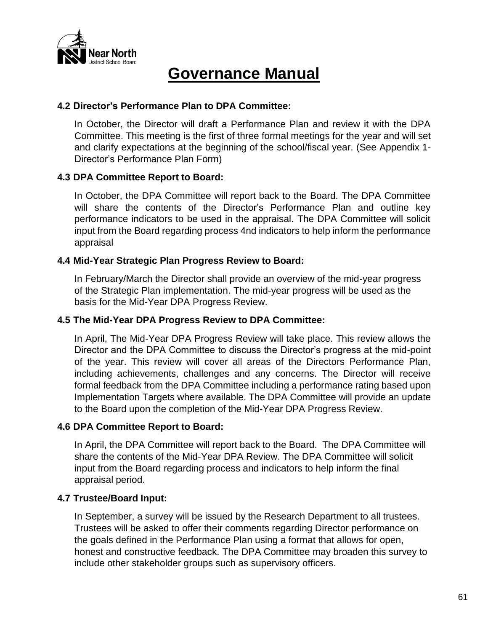

#### **4.2 Director's Performance Plan to DPA Committee:**

In October, the Director will draft a Performance Plan and review it with the DPA Committee. This meeting is the first of three formal meetings for the year and will set and clarify expectations at the beginning of the school/fiscal year. (See Appendix 1- Director's Performance Plan Form)

### **4.3 DPA Committee Report to Board:**

In October, the DPA Committee will report back to the Board. The DPA Committee will share the contents of the Director's Performance Plan and outline key performance indicators to be used in the appraisal. The DPA Committee will solicit input from the Board regarding process 4nd indicators to help inform the performance appraisal

#### **4.4 Mid-Year Strategic Plan Progress Review to Board:**

In February/March the Director shall provide an overview of the mid-year progress of the Strategic Plan implementation. The mid-year progress will be used as the basis for the Mid-Year DPA Progress Review.

#### **4.5 The Mid-Year DPA Progress Review to DPA Committee:**

In April, The Mid-Year DPA Progress Review will take place. This review allows the Director and the DPA Committee to discuss the Director's progress at the mid-point of the year. This review will cover all areas of the Directors Performance Plan, including achievements, challenges and any concerns. The Director will receive formal feedback from the DPA Committee including a performance rating based upon Implementation Targets where available. The DPA Committee will provide an update to the Board upon the completion of the Mid-Year DPA Progress Review.

### **4.6 DPA Committee Report to Board:**

In April, the DPA Committee will report back to the Board. The DPA Committee will share the contents of the Mid-Year DPA Review. The DPA Committee will solicit input from the Board regarding process and indicators to help inform the final appraisal period.

### **4.7 Trustee/Board Input:**

In September, a survey will be issued by the Research Department to all trustees. Trustees will be asked to offer their comments regarding Director performance on the goals defined in the Performance Plan using a format that allows for open, honest and constructive feedback. The DPA Committee may broaden this survey to include other stakeholder groups such as supervisory officers.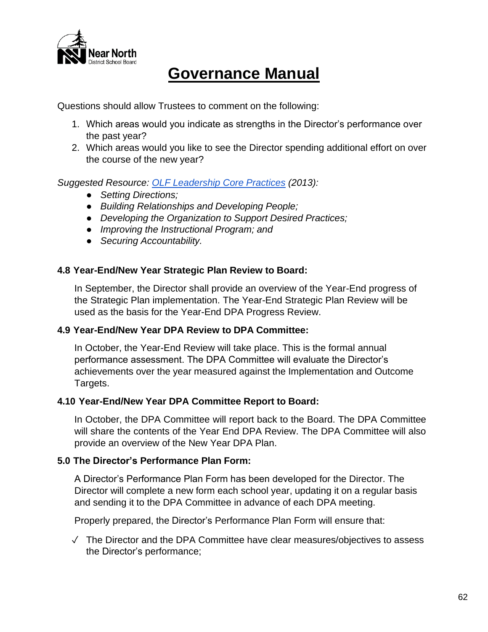

Questions should allow Trustees to comment on the following:

- 1. Which areas would you indicate as strengths in the Director's performance over the past year?
- 2. Which areas would you like to see the Director spending additional effort on over the course of the new year?

*Suggested Resource: OLF [Leadership](https://www.education-leadership-ontario.ca/application/files/8814/9452/4183/Ontario_Leadership_Framework_OLF.pdf) Core Practices (2013):*

- *Setting Directions;*
- *Building Relationships and Developing People;*
- *Developing the Organization to Support Desired Practices;*
- *Improving the Instructional Program; and*
- *Securing Accountability.*

# **4.8 Year-End/New Year Strategic Plan Review to Board:**

In September, the Director shall provide an overview of the Year-End progress of the Strategic Plan implementation. The Year-End Strategic Plan Review will be used as the basis for the Year-End DPA Progress Review.

### **4.9 Year-End/New Year DPA Review to DPA Committee:**

In October, the Year-End Review will take place. This is the formal annual performance assessment. The DPA Committee will evaluate the Director's achievements over the year measured against the Implementation and Outcome Targets.

### **4.10 Year-End/New Year DPA Committee Report to Board:**

In October, the DPA Committee will report back to the Board. The DPA Committee will share the contents of the Year End DPA Review. The DPA Committee will also provide an overview of the New Year DPA Plan.

### **5.0 The Director's Performance Plan Form:**

A Director's Performance Plan Form has been developed for the Director. The Director will complete a new form each school year, updating it on a regular basis and sending it to the DPA Committee in advance of each DPA meeting.

Properly prepared, the Director's Performance Plan Form will ensure that:

✓ The Director and the DPA Committee have clear measures/objectives to assess the Director's performance;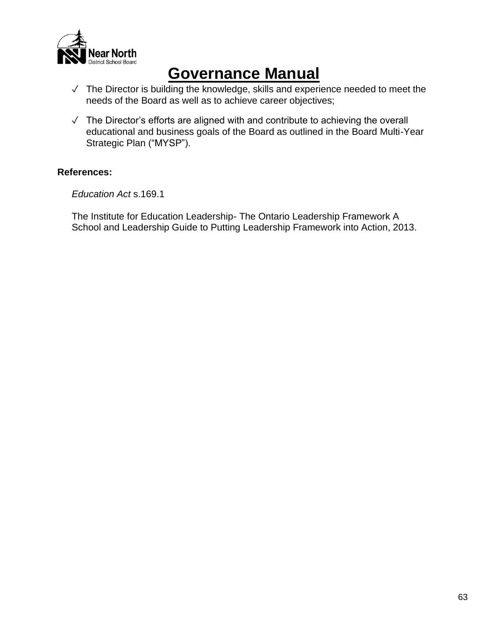

- ✓ The Director is building the knowledge, skills and experience needed to meet the needs of the Board as well as to achieve career objectives;
- ✓ The Director's efforts are aligned with and contribute to achieving the overall educational and business goals of the Board as outlined in the Board Multi-Year Strategic Plan ("MYSP").

### **References:**

*Education Act* s.169.1

The Institute for Education Leadership- The Ontario Leadership Framework A School and Leadership Guide to Putting Leadership Framework into Action, 2013.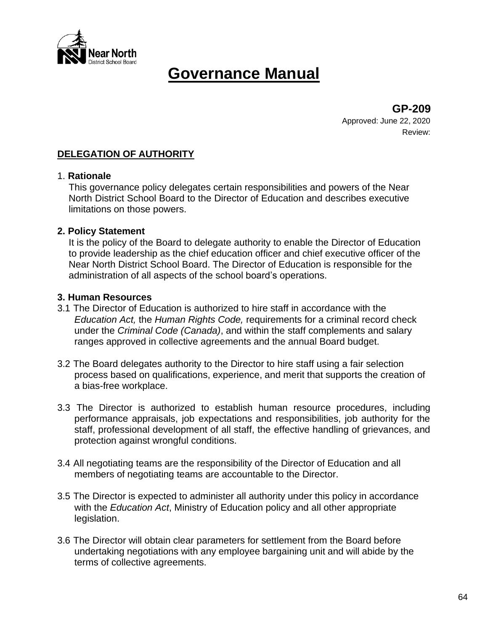

**GP-209** Approved: June 22, 2020 Review:

# **DELEGATION OF AUTHORITY**

#### 1. **Rationale**

This governance policy delegates certain responsibilities and powers of the Near North District School Board to the Director of Education and describes executive limitations on those powers.

#### **2. Policy Statement**

It is the policy of the Board to delegate authority to enable the Director of Education to provide leadership as the chief education officer and chief executive officer of the Near North District School Board. The Director of Education is responsible for the administration of all aspects of the school board's operations.

#### **3. Human Resources**

- 3.1 The Director of Education is authorized to hire staff in accordance with the *Education Act,* the *Human Rights Code,* requirements for a criminal record check under the *Criminal Code (Canada)*, and within the staff complements and salary ranges approved in collective agreements and the annual Board budget.
- 3.2 The Board delegates authority to the Director to hire staff using a fair selection process based on qualifications, experience, and merit that supports the creation of a bias-free workplace.
- 3.3 The Director is authorized to establish human resource procedures, including performance appraisals, job expectations and responsibilities, job authority for the staff, professional development of all staff, the effective handling of grievances, and protection against wrongful conditions.
- 3.4 All negotiating teams are the responsibility of the Director of Education and all members of negotiating teams are accountable to the Director.
- 3.5 The Director is expected to administer all authority under this policy in accordance with the *Education Act*, Ministry of Education policy and all other appropriate legislation.
- 3.6 The Director will obtain clear parameters for settlement from the Board before undertaking negotiations with any employee bargaining unit and will abide by the terms of collective agreements.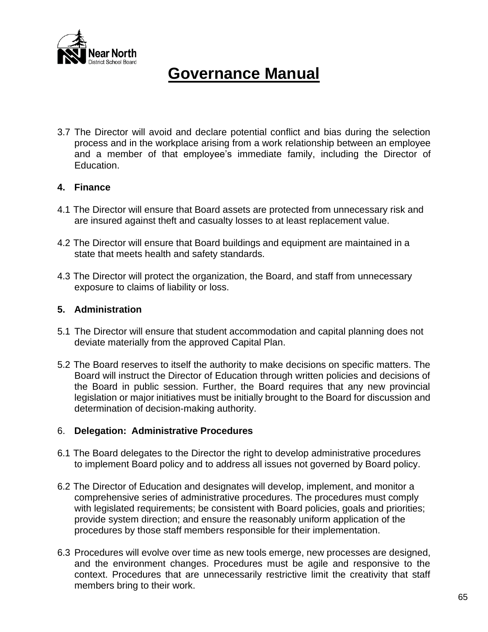

3.7 The Director will avoid and declare potential conflict and bias during the selection process and in the workplace arising from a work relationship between an employee and a member of that employee's immediate family, including the Director of Education.

#### **4. Finance**

- 4.1 The Director will ensure that Board assets are protected from unnecessary risk and are insured against theft and casualty losses to at least replacement value.
- 4.2 The Director will ensure that Board buildings and equipment are maintained in a state that meets health and safety standards.
- 4.3 The Director will protect the organization, the Board, and staff from unnecessary exposure to claims of liability or loss.

### **5. Administration**

- 5.1 The Director will ensure that student accommodation and capital planning does not deviate materially from the approved Capital Plan.
- 5.2 The Board reserves to itself the authority to make decisions on specific matters. The Board will instruct the Director of Education through written policies and decisions of the Board in public session. Further, the Board requires that any new provincial legislation or major initiatives must be initially brought to the Board for discussion and determination of decision-making authority.

### 6. **Delegation: Administrative Procedures**

- 6.1 The Board delegates to the Director the right to develop administrative procedures to implement Board policy and to address all issues not governed by Board policy.
- 6.2 The Director of Education and designates will develop, implement, and monitor a comprehensive series of administrative procedures. The procedures must comply with legislated requirements; be consistent with Board policies, goals and priorities; provide system direction; and ensure the reasonably uniform application of the procedures by those staff members responsible for their implementation.
- 6.3 Procedures will evolve over time as new tools emerge, new processes are designed, and the environment changes. Procedures must be agile and responsive to the context. Procedures that are unnecessarily restrictive limit the creativity that staff members bring to their work.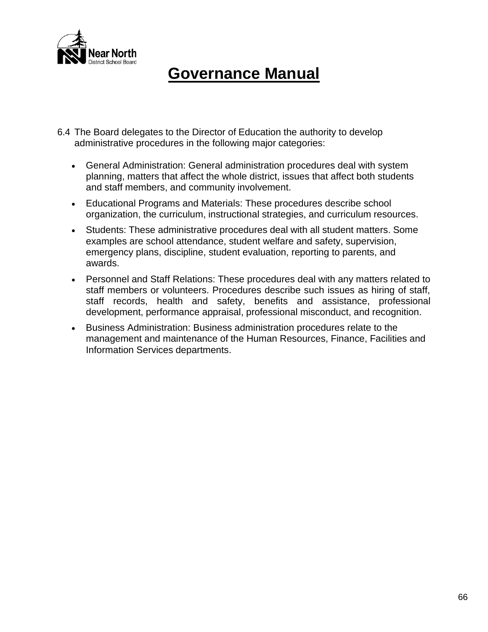

- 6.4 The Board delegates to the Director of Education the authority to develop administrative procedures in the following major categories:
	- General Administration: General administration procedures deal with system planning, matters that affect the whole district, issues that affect both students and staff members, and community involvement.
	- Educational Programs and Materials: These procedures describe school organization, the curriculum, instructional strategies, and curriculum resources.
	- Students: These administrative procedures deal with all student matters. Some examples are school attendance, student welfare and safety, supervision, emergency plans, discipline, student evaluation, reporting to parents, and awards.
	- Personnel and Staff Relations: These procedures deal with any matters related to staff members or volunteers. Procedures describe such issues as hiring of staff, staff records, health and safety, benefits and assistance, professional development, performance appraisal, professional misconduct, and recognition.
	- Business Administration: Business administration procedures relate to the management and maintenance of the Human Resources, Finance, Facilities and Information Services departments.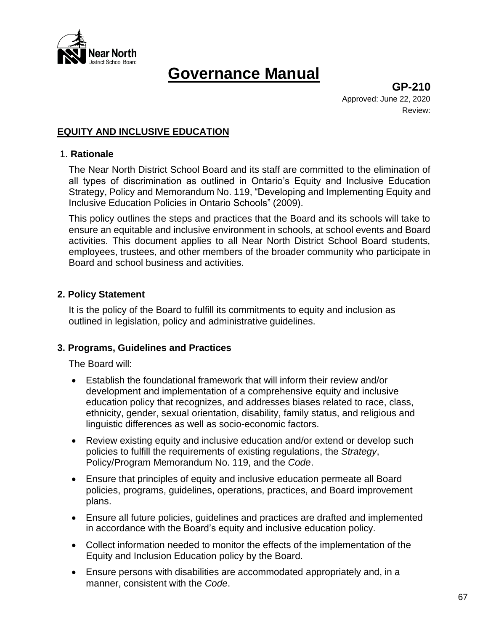

**GP-210** Approved: June 22, 2020 Review:

### **EQUITY AND INCLUSIVE EDUCATION**

#### 1. **Rationale**

The Near North District School Board and its staff are committed to the elimination of all types of discrimination as outlined in Ontario's Equity and Inclusive Education Strategy, Policy and Memorandum No. 119, "Developing and Implementing Equity and Inclusive Education Policies in Ontario Schools" (2009).

This policy outlines the steps and practices that the Board and its schools will take to ensure an equitable and inclusive environment in schools, at school events and Board activities. This document applies to all Near North District School Board students, employees, trustees, and other members of the broader community who participate in Board and school business and activities.

### **2. Policy Statement**

It is the policy of the Board to fulfill its commitments to equity and inclusion as outlined in legislation, policy and administrative guidelines.

#### **3. Programs, Guidelines and Practices**

The Board will:

- Establish the foundational framework that will inform their review and/or development and implementation of a comprehensive equity and inclusive education policy that recognizes, and addresses biases related to race, class, ethnicity, gender, sexual orientation, disability, family status, and religious and linguistic differences as well as socio-economic factors.
- Review existing equity and inclusive education and/or extend or develop such policies to fulfill the requirements of existing regulations, the *Strategy*, Policy/Program Memorandum No. 119, and the *Code*.
- Ensure that principles of equity and inclusive education permeate all Board policies, programs, guidelines, operations, practices, and Board improvement plans.
- Ensure all future policies, guidelines and practices are drafted and implemented in accordance with the Board's equity and inclusive education policy.
- Collect information needed to monitor the effects of the implementation of the Equity and Inclusion Education policy by the Board.
- Ensure persons with disabilities are accommodated appropriately and, in a manner, consistent with the *Code*.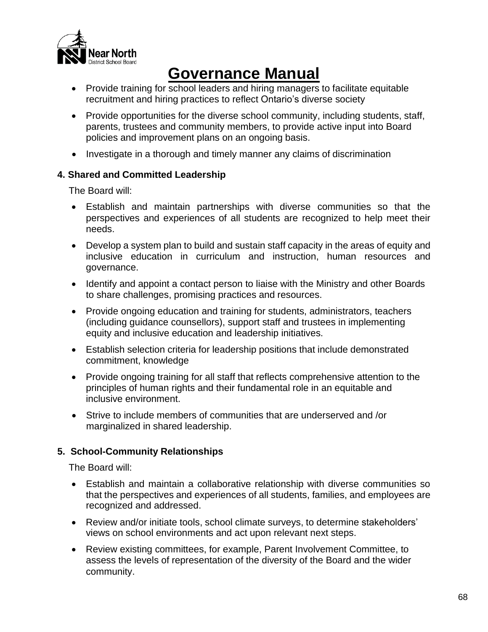

- Provide training for school leaders and hiring managers to facilitate equitable recruitment and hiring practices to reflect Ontario's diverse society
- Provide opportunities for the diverse school community, including students, staff, parents, trustees and community members, to provide active input into Board policies and improvement plans on an ongoing basis.
- Investigate in a thorough and timely manner any claims of discrimination

# **4. Shared and Committed Leadership**

The Board will:

- Establish and maintain partnerships with diverse communities so that the perspectives and experiences of all students are recognized to help meet their needs.
- Develop a system plan to build and sustain staff capacity in the areas of equity and inclusive education in curriculum and instruction, human resources and governance.
- Identify and appoint a contact person to liaise with the Ministry and other Boards to share challenges, promising practices and resources.
- Provide ongoing education and training for students, administrators, teachers (including guidance counsellors), support staff and trustees in implementing equity and inclusive education and leadership initiatives.
- Establish selection criteria for leadership positions that include demonstrated commitment, knowledge
- Provide ongoing training for all staff that reflects comprehensive attention to the principles of human rights and their fundamental role in an equitable and inclusive environment.
- Strive to include members of communities that are underserved and /or marginalized in shared leadership.

# **5. School-Community Relationships**

The Board will:

- Establish and maintain a collaborative relationship with diverse communities so that the perspectives and experiences of all students, families, and employees are recognized and addressed.
- Review and/or initiate tools, school climate surveys, to determine stakeholders' views on school environments and act upon relevant next steps.
- Review existing committees, for example, Parent Involvement Committee, to assess the levels of representation of the diversity of the Board and the wider community.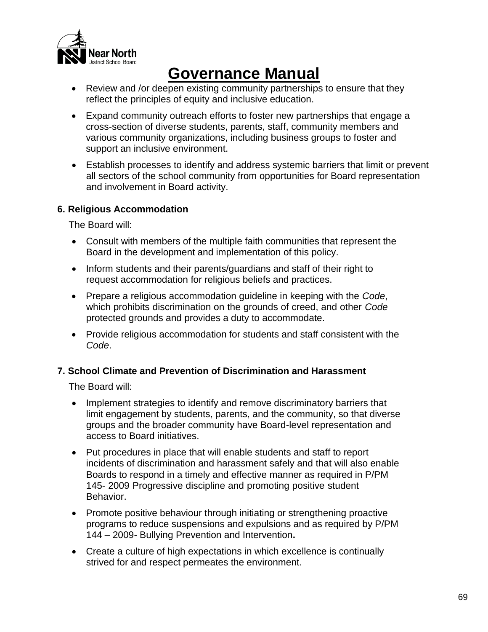

- Review and /or deepen existing community partnerships to ensure that they reflect the principles of equity and inclusive education.
- Expand community outreach efforts to foster new partnerships that engage a cross-section of diverse students, parents, staff, community members and various community organizations, including business groups to foster and support an inclusive environment.
- Establish processes to identify and address systemic barriers that limit or prevent all sectors of the school community from opportunities for Board representation and involvement in Board activity.

# **6. Religious Accommodation**

The Board will:

- Consult with members of the multiple faith communities that represent the Board in the development and implementation of this policy.
- Inform students and their parents/guardians and staff of their right to request accommodation for religious beliefs and practices.
- Prepare a religious accommodation guideline in keeping with the *Code*, which prohibits discrimination on the grounds of creed, and other *Code* protected grounds and provides a duty to accommodate.
- Provide religious accommodation for students and staff consistent with the *Code*.

# **7. School Climate and Prevention of Discrimination and Harassment**

The Board will:

- Implement strategies to identify and remove discriminatory barriers that limit engagement by students, parents, and the community, so that diverse groups and the broader community have Board-level representation and access to Board initiatives.
- Put procedures in place that will enable students and staff to report incidents of discrimination and harassment safely and that will also enable Boards to respond in a timely and effective manner as required in P/PM 145- 2009 Progressive discipline and promoting positive student Behavior.
- Promote positive behaviour through initiating or strengthening proactive programs to reduce suspensions and expulsions and as required by P/PM 144 – 2009- Bullying Prevention and Intervention**.**
- Create a culture of high expectations in which excellence is continually strived for and respect permeates the environment.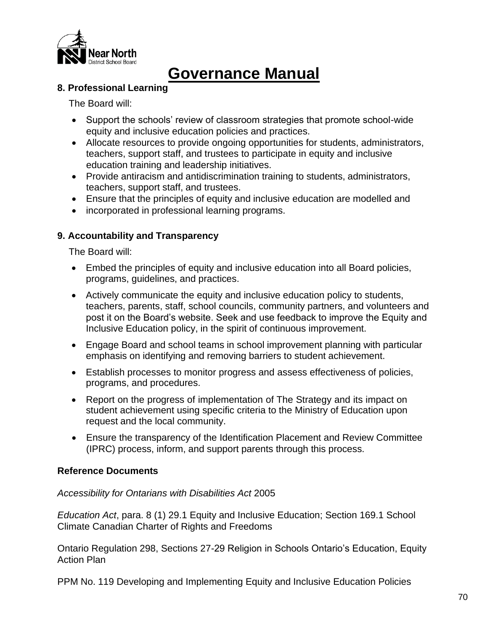

### **8. Professional Learning**

The Board will:

- Support the schools' review of classroom strategies that promote school-wide equity and inclusive education policies and practices.
- Allocate resources to provide ongoing opportunities for students, administrators, teachers, support staff, and trustees to participate in equity and inclusive education training and leadership initiatives.
- Provide antiracism and antidiscrimination training to students, administrators, teachers, support staff, and trustees.
- Ensure that the principles of equity and inclusive education are modelled and
- incorporated in professional learning programs.

# **9. Accountability and Transparency**

The Board will:

- Embed the principles of equity and inclusive education into all Board policies, programs, guidelines, and practices.
- Actively communicate the equity and inclusive education policy to students, teachers, parents, staff, school councils, community partners, and volunteers and post it on the Board's website. Seek and use feedback to improve the Equity and Inclusive Education policy, in the spirit of continuous improvement.
- Engage Board and school teams in school improvement planning with particular emphasis on identifying and removing barriers to student achievement.
- Establish processes to monitor progress and assess effectiveness of policies, programs, and procedures.
- Report on the progress of implementation of The Strategy and its impact on student achievement using specific criteria to the Ministry of Education upon request and the local community.
- Ensure the transparency of the Identification Placement and Review Committee (IPRC) process, inform, and support parents through this process.

# **Reference Documents**

# *Accessibility for Ontarians with Disabilities Act* 2005

*Education Act*, para. 8 (1) 29.1 Equity and Inclusive Education; Section 169.1 School Climate Canadian Charter of Rights and Freedoms

Ontario Regulation 298, Sections 27-29 Religion in Schools Ontario's Education, Equity Action Plan

PPM No. 119 Developing and Implementing Equity and Inclusive Education Policies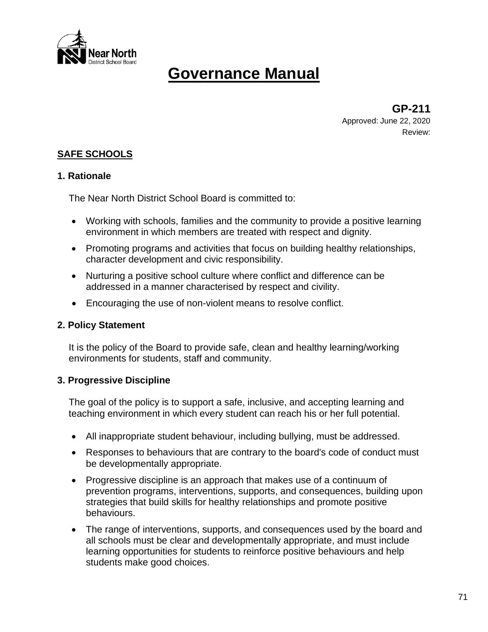

**GP-211** Approved: June 22, 2020 Review:

# **SAFE SCHOOLS**

### **1. Rationale**

The Near North District School Board is committed to:

- Working with schools, families and the community to provide a positive learning environment in which members are treated with respect and dignity.
- Promoting programs and activities that focus on building healthy relationships, character development and civic responsibility.
- Nurturing a positive school culture where conflict and difference can be addressed in a manner characterised by respect and civility.
- Encouraging the use of non-violent means to resolve conflict.

### **2. Policy Statement**

It is the policy of the Board to provide safe, clean and healthy learning/working environments for students, staff and community.

### **3. Progressive Discipline**

The goal of the policy is to support a safe, inclusive, and accepting learning and teaching environment in which every student can reach his or her full potential.

- All inappropriate student behaviour, including bullying, must be addressed.
- Responses to behaviours that are contrary to the board's code of conduct must be developmentally appropriate.
- Progressive discipline is an approach that makes use of a continuum of prevention programs, interventions, supports, and consequences, building upon strategies that build skills for healthy relationships and promote positive behaviours.
- The range of interventions, supports, and consequences used by the board and all schools must be clear and developmentally appropriate, and must include learning opportunities for students to reinforce positive behaviours and help students make good choices.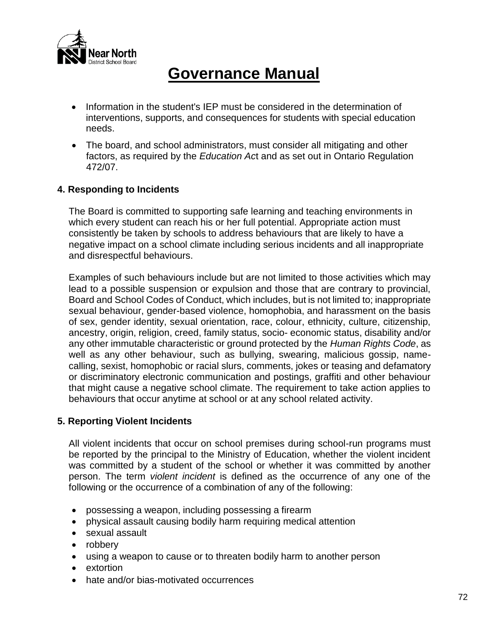

- Information in the student's IEP must be considered in the determination of interventions, supports, and consequences for students with special education needs.
- The board, and school administrators, must consider all mitigating and other factors, as required by the *Education Ac*t and as set out in Ontario Regulation 472/07.

# **4. Responding to Incidents**

The Board is committed to supporting safe learning and teaching environments in which every student can reach his or her full potential. Appropriate action must consistently be taken by schools to address behaviours that are likely to have a negative impact on a school climate including serious incidents and all inappropriate and disrespectful behaviours.

Examples of such behaviours include but are not limited to those activities which may lead to a possible suspension or expulsion and those that are contrary to provincial, Board and School Codes of Conduct, which includes, but is not limited to; inappropriate sexual behaviour, gender-based violence, homophobia, and harassment on the basis of sex, gender identity, sexual orientation, race, colour, ethnicity, culture, citizenship, ancestry, origin, religion, creed, family status, socio- economic status, disability and/or any other immutable characteristic or ground protected by the *Human Rights Code*, as well as any other behaviour, such as bullying, swearing, malicious gossip, namecalling, sexist, homophobic or racial slurs, comments, jokes or teasing and defamatory or discriminatory electronic communication and postings, graffiti and other behaviour that might cause a negative school climate. The requirement to take action applies to behaviours that occur anytime at school or at any school related activity.

### **5. Reporting Violent Incidents**

All violent incidents that occur on school premises during school-run programs must be reported by the principal to the Ministry of Education, whether the violent incident was committed by a student of the school or whether it was committed by another person. The term *violent incident* is defined as the occurrence of any one of the following or the occurrence of a combination of any of the following:

- possessing a weapon, including possessing a firearm
- physical assault causing bodily harm requiring medical attention
- sexual assault
- robbery
- using a weapon to cause or to threaten bodily harm to another person
- extortion
- hate and/or bias-motivated occurrences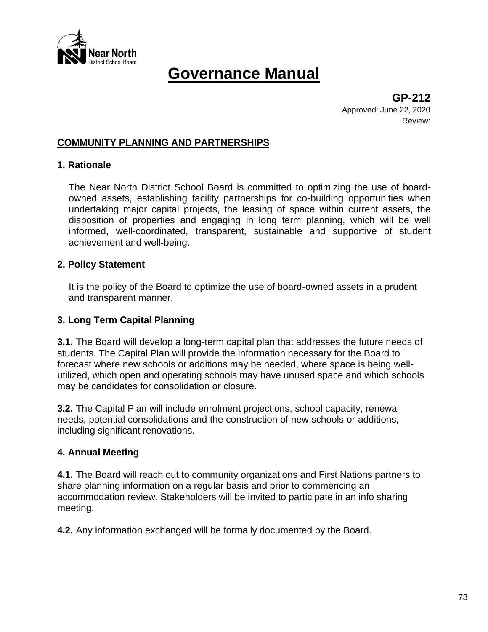

**GP-212** Approved: June 22, 2020 Review:

## **COMMUNITY PLANNING AND PARTNERSHIPS**

### **1. Rationale**

The Near North District School Board is committed to optimizing the use of boardowned assets, establishing facility partnerships for co-building opportunities when undertaking major capital projects, the leasing of space within current assets, the disposition of properties and engaging in long term planning, which will be well informed, well-coordinated, transparent, sustainable and supportive of student achievement and well-being.

#### **2. Policy Statement**

It is the policy of the Board to optimize the use of board-owned assets in a prudent and transparent manner.

### **3. Long Term Capital Planning**

**3.1.** The Board will develop a long-term capital plan that addresses the future needs of students. The Capital Plan will provide the information necessary for the Board to forecast where new schools or additions may be needed, where space is being wellutilized, which open and operating schools may have unused space and which schools may be candidates for consolidation or closure.

**3.2.** The Capital Plan will include enrolment projections, school capacity, renewal needs, potential consolidations and the construction of new schools or additions, including significant renovations.

### **4. Annual Meeting**

**4.1.** The Board will reach out to community organizations and First Nations partners to share planning information on a regular basis and prior to commencing an accommodation review. Stakeholders will be invited to participate in an info sharing meeting.

**4.2.** Any information exchanged will be formally documented by the Board.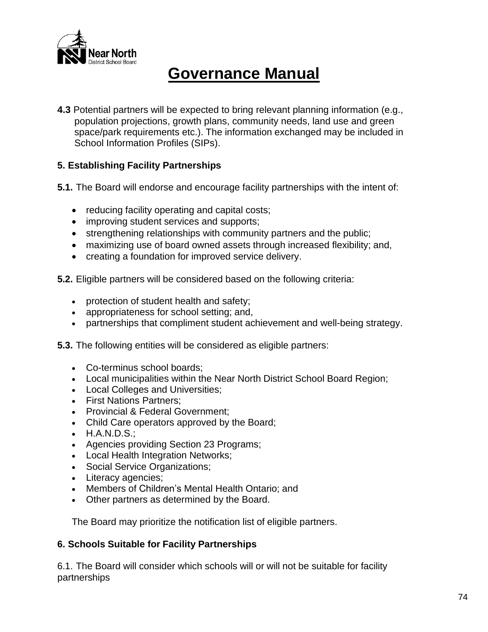

**4.3** Potential partners will be expected to bring relevant planning information (e.g., population projections, growth plans, community needs, land use and green space/park requirements etc.). The information exchanged may be included in School Information Profiles (SIPs).

## **5. Establishing Facility Partnerships**

- **5.1.** The Board will endorse and encourage facility partnerships with the intent of:
	- reducing facility operating and capital costs;
	- improving student services and supports;
	- strengthening relationships with community partners and the public;
	- maximizing use of board owned assets through increased flexibility; and,
	- creating a foundation for improved service delivery.
- **5.2.** Eligible partners will be considered based on the following criteria:
	- protection of student health and safety;
	- appropriateness for school setting; and,
	- partnerships that compliment student achievement and well-being strategy.
- **5.3.** The following entities will be considered as eligible partners:
	- Co-terminus school boards;
	- Local municipalities within the Near North District School Board Region;
	- Local Colleges and Universities;
	- First Nations Partners;
	- Provincial & Federal Government;
	- Child Care operators approved by the Board;
	- H.A.N.D.S.;
	- Agencies providing Section 23 Programs;
	- Local Health Integration Networks;
	- Social Service Organizations;
	- Literacy agencies;
	- Members of Children's Mental Health Ontario; and
	- Other partners as determined by the Board.

The Board may prioritize the notification list of eligible partners.

### **6. Schools Suitable for Facility Partnerships**

6.1. The Board will consider which schools will or will not be suitable for facility partnerships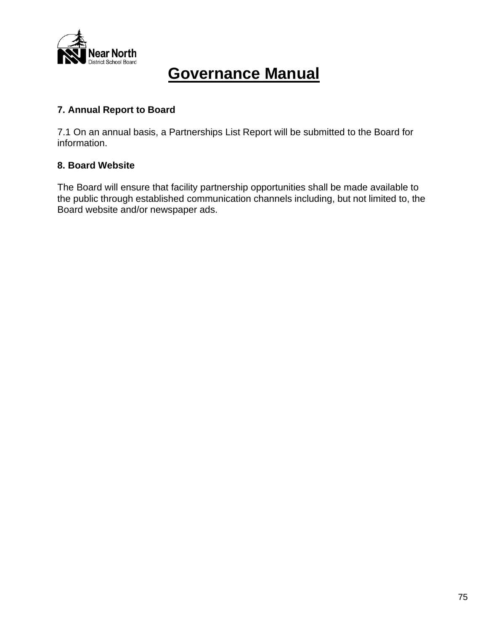

## **7. Annual Report to Board**

7.1 On an annual basis, a Partnerships List Report will be submitted to the Board for information.

## **8. Board Website**

The Board will ensure that facility partnership opportunities shall be made available to the public through established communication channels including, but not limited to, the Board website and/or newspaper ads.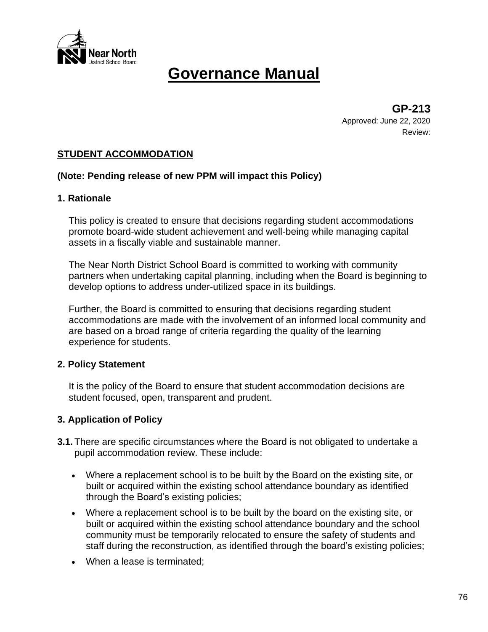

**GP-213** Approved: June 22, 2020 Review:

## **STUDENT ACCOMMODATION**

### **(Note: Pending release of new PPM will impact this Policy)**

#### **1. Rationale**

This policy is created to ensure that decisions regarding student accommodations promote board-wide student achievement and well-being while managing capital assets in a fiscally viable and sustainable manner.

The Near North District School Board is committed to working with community partners when undertaking capital planning, including when the Board is beginning to develop options to address under-utilized space in its buildings.

Further, the Board is committed to ensuring that decisions regarding student accommodations are made with the involvement of an informed local community and are based on a broad range of criteria regarding the quality of the learning experience for students.

### **2. Policy Statement**

It is the policy of the Board to ensure that student accommodation decisions are student focused, open, transparent and prudent.

### **3. Application of Policy**

- **3.1.** There are specific circumstances where the Board is not obligated to undertake a pupil accommodation review. These include:
	- Where a replacement school is to be built by the Board on the existing site, or built or acquired within the existing school attendance boundary as identified through the Board's existing policies;
	- Where a replacement school is to be built by the board on the existing site, or built or acquired within the existing school attendance boundary and the school community must be temporarily relocated to ensure the safety of students and staff during the reconstruction, as identified through the board's existing policies;
	- When a lease is terminated;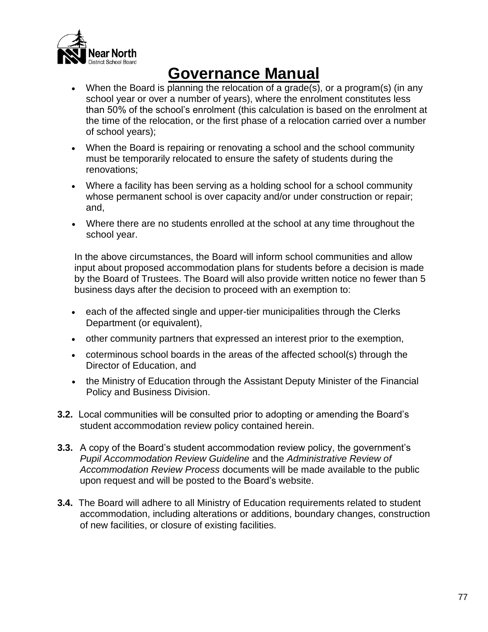

- When the Board is planning the relocation of a grade(s), or a program(s) (in any school year or over a number of years), where the enrolment constitutes less than 50% of the school's enrolment (this calculation is based on the enrolment at the time of the relocation, or the first phase of a relocation carried over a number of school years);
- When the Board is repairing or renovating a school and the school community must be temporarily relocated to ensure the safety of students during the renovations;
- Where a facility has been serving as a holding school for a school community whose permanent school is over capacity and/or under construction or repair; and,
- Where there are no students enrolled at the school at any time throughout the school year.

In the above circumstances, the Board will inform school communities and allow input about proposed accommodation plans for students before a decision is made by the Board of Trustees. The Board will also provide written notice no fewer than 5 business days after the decision to proceed with an exemption to:

- each of the affected single and upper-tier municipalities through the Clerks Department (or equivalent),
- other community partners that expressed an interest prior to the exemption,
- coterminous school boards in the areas of the affected school(s) through the Director of Education, and
- the Ministry of Education through the Assistant Deputy Minister of the Financial Policy and Business Division.
- **3.2.** Local communities will be consulted prior to adopting or amending the Board's student accommodation review policy contained herein.
- **3.3.** A copy of the Board's student accommodation review policy, the government's *Pupil Accommodation Review Guideline* and the *Administrative Review of Accommodation Review Process* documents will be made available to the public upon request and will be posted to the Board's website.
- **3.4.** The Board will adhere to all Ministry of Education requirements related to student accommodation, including alterations or additions, boundary changes, construction of new facilities, or closure of existing facilities.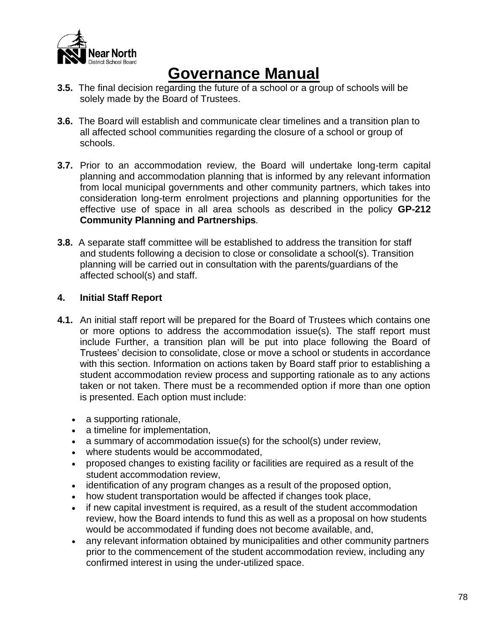

- **3.5.** The final decision regarding the future of a school or a group of schools will be solely made by the Board of Trustees.
- **3.6.** The Board will establish and communicate clear timelines and a transition plan to all affected school communities regarding the closure of a school or group of schools.
- **3.7.** Prior to an accommodation review, the Board will undertake long-term capital planning and accommodation planning that is informed by any relevant information from local municipal governments and other community partners, which takes into consideration long-term enrolment projections and planning opportunities for the effective use of space in all area schools as described in the policy **GP-212 Community Planning and Partnerships***.*
- **3.8.** A separate staff committee will be established to address the transition for staff and students following a decision to close or consolidate a school(s). Transition planning will be carried out in consultation with the parents/guardians of the affected school(s) and staff.

## **4. Initial Staff Report**

- **4.1.** An initial staff report will be prepared for the Board of Trustees which contains one or more options to address the accommodation issue(s). The staff report must include Further, a transition plan will be put into place following the Board of Trustees' decision to consolidate, close or move a school or students in accordance with this section. Information on actions taken by Board staff prior to establishing a student accommodation review process and supporting rationale as to any actions taken or not taken. There must be a recommended option if more than one option is presented. Each option must include:
	- a supporting rationale,
	- a timeline for implementation,
	- a summary of accommodation issue(s) for the school(s) under review,
	- where students would be accommodated,
	- proposed changes to existing facility or facilities are required as a result of the student accommodation review,
	- identification of any program changes as a result of the proposed option,
	- how student transportation would be affected if changes took place,
	- if new capital investment is required, as a result of the student accommodation review, how the Board intends to fund this as well as a proposal on how students would be accommodated if funding does not become available, and,
	- any relevant information obtained by municipalities and other community partners prior to the commencement of the student accommodation review, including any confirmed interest in using the under-utilized space.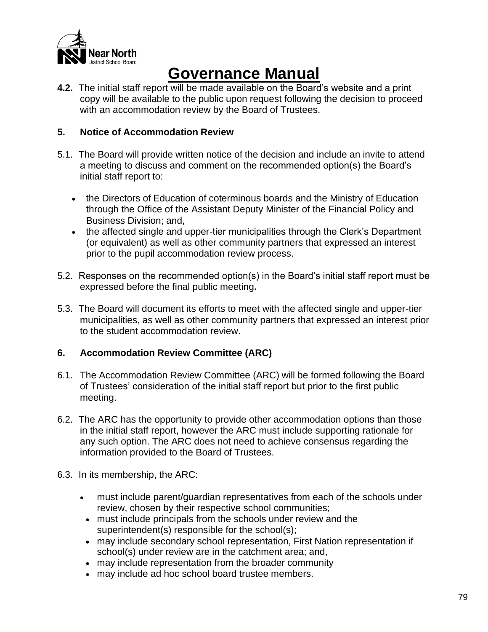

**4.2.** The initial staff report will be made available on the Board's website and a print copy will be available to the public upon request following the decision to proceed with an accommodation review by the Board of Trustees.

## **5. Notice of Accommodation Review**

- 5.1. The Board will provide written notice of the decision and include an invite to attend a meeting to discuss and comment on the recommended option(s) the Board's initial staff report to:
	- the Directors of Education of coterminous boards and the Ministry of Education through the Office of the Assistant Deputy Minister of the Financial Policy and Business Division; and,
	- the affected single and upper-tier municipalities through the Clerk's Department (or equivalent) as well as other community partners that expressed an interest prior to the pupil accommodation review process.
- 5.2. Responses on the recommended option(s) in the Board's initial staff report must be expressed before the final public meeting**.**
- 5.3. The Board will document its efforts to meet with the affected single and upper-tier municipalities, as well as other community partners that expressed an interest prior to the student accommodation review.

## **6. Accommodation Review Committee (ARC)**

- 6.1. The Accommodation Review Committee (ARC) will be formed following the Board of Trustees' consideration of the initial staff report but prior to the first public meeting.
- 6.2. The ARC has the opportunity to provide other accommodation options than those in the initial staff report, however the ARC must include supporting rationale for any such option. The ARC does not need to achieve consensus regarding the information provided to the Board of Trustees.
- 6.3. In its membership, the ARC:
	- must include parent/guardian representatives from each of the schools under review, chosen by their respective school communities;
		- must include principals from the schools under review and the superintendent(s) responsible for the school(s);
		- may include secondary school representation, First Nation representation if school(s) under review are in the catchment area; and,
		- may include representation from the broader community
		- may include ad hoc school board trustee members.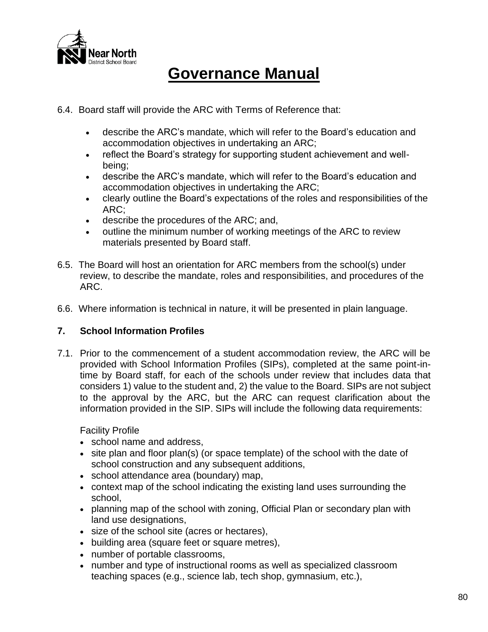

- 6.4. Board staff will provide the ARC with Terms of Reference that:
	- describe the ARC's mandate, which will refer to the Board's education and accommodation objectives in undertaking an ARC;
	- reflect the Board's strategy for supporting student achievement and wellbeing;
	- describe the ARC's mandate, which will refer to the Board's education and accommodation objectives in undertaking the ARC;
	- clearly outline the Board's expectations of the roles and responsibilities of the ARC;
	- describe the procedures of the ARC; and,
	- outline the minimum number of working meetings of the ARC to review materials presented by Board staff.
- 6.5. The Board will host an orientation for ARC members from the school(s) under review, to describe the mandate, roles and responsibilities, and procedures of the ARC.
- 6.6. Where information is technical in nature, it will be presented in plain language.

### **7. School Information Profiles**

7.1. Prior to the commencement of a student accommodation review, the ARC will be provided with School Information Profiles (SIPs), completed at the same point-intime by Board staff, for each of the schools under review that includes data that considers 1) value to the student and, 2) the value to the Board. SIPs are not subject to the approval by the ARC, but the ARC can request clarification about the information provided in the SIP. SIPs will include the following data requirements:

Facility Profile

- school name and address,
- site plan and floor plan(s) (or space template) of the school with the date of school construction and any subsequent additions,
- school attendance area (boundary) map,
- context map of the school indicating the existing land uses surrounding the school,
- planning map of the school with zoning, Official Plan or secondary plan with land use designations,
- size of the school site (acres or hectares),
- building area (square feet or square metres),
- number of portable classrooms,
- number and type of instructional rooms as well as specialized classroom teaching spaces (e.g., science lab, tech shop, gymnasium, etc.),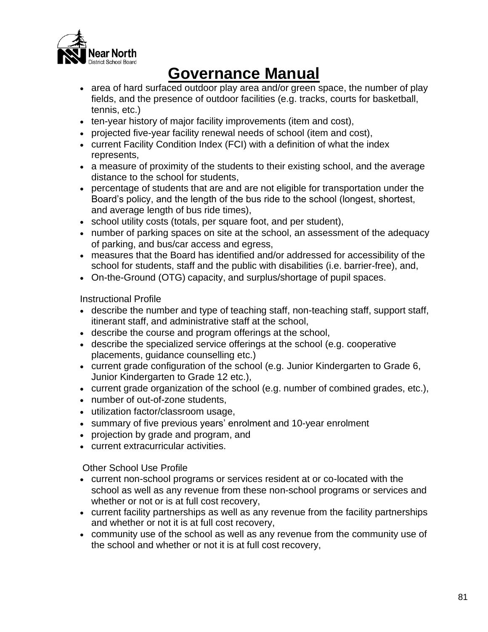

- area of hard surfaced outdoor play area and/or green space, the number of play fields, and the presence of outdoor facilities (e.g. tracks, courts for basketball, tennis, etc.)
- ten-year history of major facility improvements (item and cost),
- projected five-year facility renewal needs of school (item and cost),
- current Facility Condition Index (FCI) with a definition of what the index represents,
- a measure of proximity of the students to their existing school, and the average distance to the school for students,
- percentage of students that are and are not eligible for transportation under the Board's policy, and the length of the bus ride to the school (longest, shortest, and average length of bus ride times),
- school utility costs (totals, per square foot, and per student),
- number of parking spaces on site at the school, an assessment of the adequacy of parking, and bus/car access and egress,
- measures that the Board has identified and/or addressed for accessibility of the school for students, staff and the public with disabilities (i.e. barrier-free), and,
- On-the-Ground (OTG) capacity, and surplus/shortage of pupil spaces.

Instructional Profile

- describe the number and type of teaching staff, non-teaching staff, support staff, itinerant staff, and administrative staff at the school,
- describe the course and program offerings at the school,
- describe the specialized service offerings at the school (e.g. cooperative placements, guidance counselling etc.)
- current grade configuration of the school (e.g. Junior Kindergarten to Grade 6, Junior Kindergarten to Grade 12 etc.),
- current grade organization of the school (e.g. number of combined grades, etc.),
- number of out-of-zone students,
- utilization factor/classroom usage,
- summary of five previous years' enrolment and 10-year enrolment
- projection by grade and program, and
- current extracurricular activities.

Other School Use Profile

- current non-school programs or services resident at or co-located with the school as well as any revenue from these non-school programs or services and whether or not or is at full cost recovery,
- current facility partnerships as well as any revenue from the facility partnerships and whether or not it is at full cost recovery,
- community use of the school as well as any revenue from the community use of the school and whether or not it is at full cost recovery,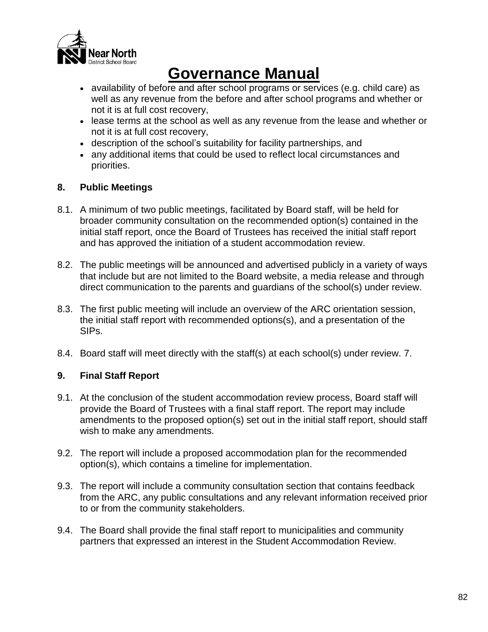

- availability of before and after school programs or services (e.g. child care) as well as any revenue from the before and after school programs and whether or not it is at full cost recovery,
- lease terms at the school as well as any revenue from the lease and whether or not it is at full cost recovery,
- description of the school's suitability for facility partnerships, and
- any additional items that could be used to reflect local circumstances and priorities.

## **8. Public Meetings**

- 8.1. A minimum of two public meetings, facilitated by Board staff, will be held for broader community consultation on the recommended option(s) contained in the initial staff report, once the Board of Trustees has received the initial staff report and has approved the initiation of a student accommodation review.
- 8.2. The public meetings will be announced and advertised publicly in a variety of ways that include but are not limited to the Board website, a media release and through direct communication to the parents and guardians of the school(s) under review.
- 8.3. The first public meeting will include an overview of the ARC orientation session, the initial staff report with recommended options(s), and a presentation of the SIPs.
- 8.4. Board staff will meet directly with the staff(s) at each school(s) under review. 7.

## **9. Final Staff Report**

- 9.1. At the conclusion of the student accommodation review process, Board staff will provide the Board of Trustees with a final staff report. The report may include amendments to the proposed option(s) set out in the initial staff report, should staff wish to make any amendments.
- 9.2. The report will include a proposed accommodation plan for the recommended option(s), which contains a timeline for implementation.
- 9.3. The report will include a community consultation section that contains feedback from the ARC, any public consultations and any relevant information received prior to or from the community stakeholders.
- 9.4. The Board shall provide the final staff report to municipalities and community partners that expressed an interest in the Student Accommodation Review.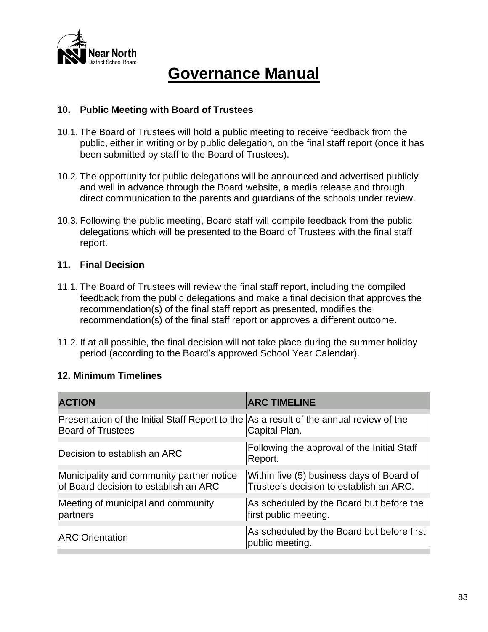

### **10. Public Meeting with Board of Trustees**

- 10.1. The Board of Trustees will hold a public meeting to receive feedback from the public, either in writing or by public delegation, on the final staff report (once it has been submitted by staff to the Board of Trustees).
- 10.2. The opportunity for public delegations will be announced and advertised publicly and well in advance through the Board website, a media release and through direct communication to the parents and guardians of the schools under review.
- 10.3. Following the public meeting, Board staff will compile feedback from the public delegations which will be presented to the Board of Trustees with the final staff report.

### **11. Final Decision**

- 11.1. The Board of Trustees will review the final staff report, including the compiled feedback from the public delegations and make a final decision that approves the recommendation(s) of the final staff report as presented, modifies the recommendation(s) of the final staff report or approves a different outcome.
- 11.2. If at all possible, the final decision will not take place during the summer holiday period (according to the Board's approved School Year Calendar).

## **12. Minimum Timelines**

| <b>ACTION</b>                                                                                                       | <b>ARC TIMELINE</b>                                                                  |
|---------------------------------------------------------------------------------------------------------------------|--------------------------------------------------------------------------------------|
| Presentation of the Initial Staff Report to the As a result of the annual review of the<br><b>Board of Trustees</b> | Capital Plan.                                                                        |
| Decision to establish an ARC                                                                                        | Following the approval of the Initial Staff<br>Report.                               |
| Municipality and community partner notice<br>of Board decision to establish an ARC                                  | Within five (5) business days of Board of<br>Trustee's decision to establish an ARC. |
| Meeting of municipal and community<br>partners                                                                      | As scheduled by the Board but before the<br>first public meeting.                    |
| <b>ARC Orientation</b>                                                                                              | As scheduled by the Board but before first<br>public meeting.                        |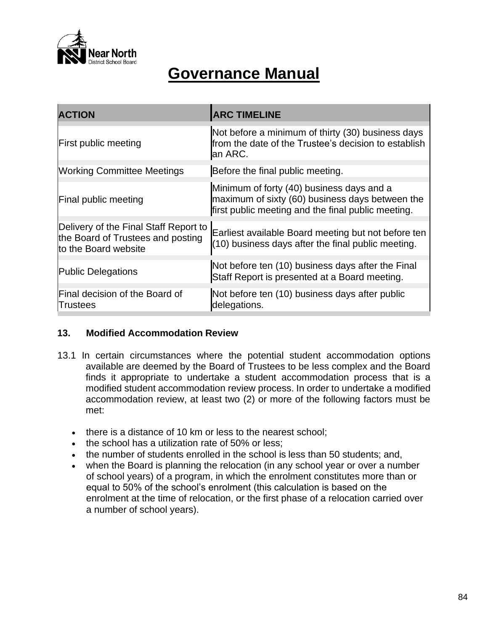

| <b>ACTION</b>                                                                                      | <b>ARC TIMELINE</b>                                                                                                                                |
|----------------------------------------------------------------------------------------------------|----------------------------------------------------------------------------------------------------------------------------------------------------|
| <b>First public meeting</b>                                                                        | Not before a minimum of thirty (30) business days<br>from the date of the Trustee's decision to establish<br>an ARC.                               |
| <b>Working Committee Meetings</b>                                                                  | Before the final public meeting.                                                                                                                   |
| Final public meeting                                                                               | Minimum of forty (40) business days and a<br>maximum of sixty (60) business days between the<br>first public meeting and the final public meeting. |
| Delivery of the Final Staff Report to<br>the Board of Trustees and posting<br>to the Board website | Earliest available Board meeting but not before ten<br>(10) business days after the final public meeting.                                          |
| <b>Public Delegations</b>                                                                          | Not before ten (10) business days after the Final<br>Staff Report is presented at a Board meeting.                                                 |
| Final decision of the Board of<br><b>Trustees</b>                                                  | Not before ten (10) business days after public<br>delegations.                                                                                     |

## **13. Modified Accommodation Review**

- 13.1 In certain circumstances where the potential student accommodation options available are deemed by the Board of Trustees to be less complex and the Board finds it appropriate to undertake a student accommodation process that is a modified student accommodation review process. In order to undertake a modified accommodation review, at least two (2) or more of the following factors must be met:
	- there is a distance of 10 km or less to the nearest school;
	- the school has a utilization rate of 50% or less;
	- the number of students enrolled in the school is less than 50 students; and,
	- when the Board is planning the relocation (in any school year or over a number of school years) of a program, in which the enrolment constitutes more than or equal to 50% of the school's enrolment (this calculation is based on the enrolment at the time of relocation, or the first phase of a relocation carried over a number of school years).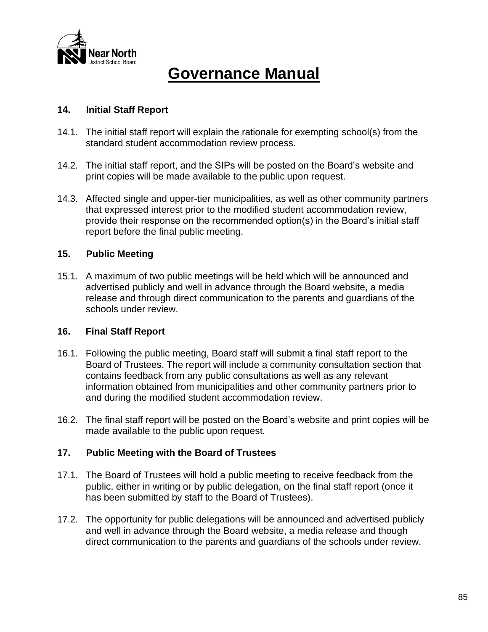

## **14. Initial Staff Report**

- 14.1. The initial staff report will explain the rationale for exempting school(s) from the standard student accommodation review process.
- 14.2. The initial staff report, and the SIPs will be posted on the Board's website and print copies will be made available to the public upon request.
- 14.3. Affected single and upper-tier municipalities, as well as other community partners that expressed interest prior to the modified student accommodation review, provide their response on the recommended option(s) in the Board's initial staff report before the final public meeting.

## **15. Public Meeting**

15.1. A maximum of two public meetings will be held which will be announced and advertised publicly and well in advance through the Board website, a media release and through direct communication to the parents and guardians of the schools under review.

### **16. Final Staff Report**

- 16.1. Following the public meeting, Board staff will submit a final staff report to the Board of Trustees. The report will include a community consultation section that contains feedback from any public consultations as well as any relevant information obtained from municipalities and other community partners prior to and during the modified student accommodation review.
- 16.2. The final staff report will be posted on the Board's website and print copies will be made available to the public upon request.

### **17. Public Meeting with the Board of Trustees**

- 17.1. The Board of Trustees will hold a public meeting to receive feedback from the public, either in writing or by public delegation, on the final staff report (once it has been submitted by staff to the Board of Trustees).
- 17.2. The opportunity for public delegations will be announced and advertised publicly and well in advance through the Board website, a media release and though direct communication to the parents and guardians of the schools under review.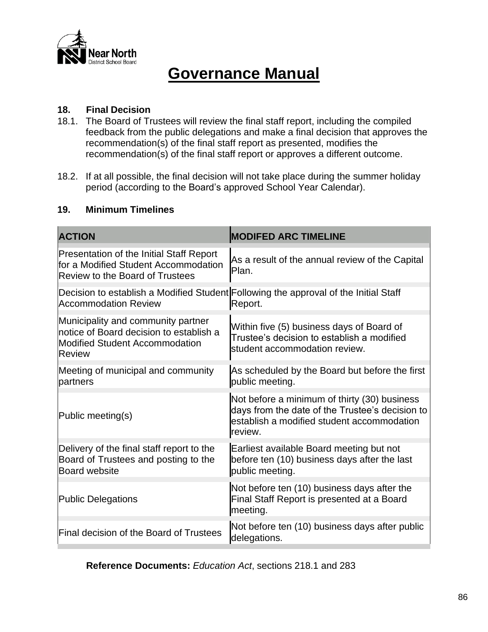

## **18. Final Decision**

- 18.1. The Board of Trustees will review the final staff report, including the compiled feedback from the public delegations and make a final decision that approves the recommendation(s) of the final staff report as presented, modifies the recommendation(s) of the final staff report or approves a different outcome.
- 18.2. If at all possible, the final decision will not take place during the summer holiday period (according to the Board's approved School Year Calendar).

#### **19. Minimum Timelines**

| <b>ACTION</b>                                                                                                                     | <b>MODIFED ARC TIMELINE</b>                                                                                                                              |
|-----------------------------------------------------------------------------------------------------------------------------------|----------------------------------------------------------------------------------------------------------------------------------------------------------|
| <b>Presentation of the Initial Staff Report</b><br>for a Modified Student Accommodation<br><b>Review to the Board of Trustees</b> | As a result of the annual review of the Capital<br>Plan.                                                                                                 |
| <b>Accommodation Review</b>                                                                                                       | Decision to establish a Modified Student Following the approval of the Initial Staff<br>Report.                                                          |
| Municipality and community partner<br>notice of Board decision to establish a<br><b>Modified Student Accommodation</b><br>Review  | Within five (5) business days of Board of<br>Trustee's decision to establish a modified<br>student accommodation review.                                 |
| Meeting of municipal and community<br>partners                                                                                    | As scheduled by the Board but before the first<br>public meeting.                                                                                        |
| Public meeting(s)                                                                                                                 | Not before a minimum of thirty (30) business<br>days from the date of the Trustee's decision to<br>establish a modified student accommodation<br>review. |
| Delivery of the final staff report to the<br>Board of Trustees and posting to the<br><b>Board website</b>                         | Earliest available Board meeting but not<br>before ten (10) business days after the last<br>public meeting.                                              |
| <b>Public Delegations</b>                                                                                                         | Not before ten (10) business days after the<br>Final Staff Report is presented at a Board<br>meeting.                                                    |
| Final decision of the Board of Trustees                                                                                           | Not before ten (10) business days after public<br>delegations.                                                                                           |

**Reference Documents:** *Education Act*, sections 218.1 and 283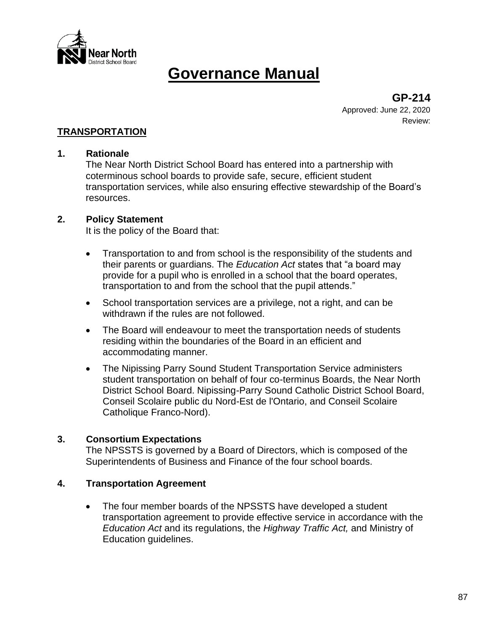

**GP-214** Approved: June 22, 2020 Review:

## **TRANSPORTATION**

#### **1. Rationale**

The Near North District School Board has entered into a partnership with coterminous school boards to provide safe, secure, efficient student transportation services, while also ensuring effective stewardship of the Board's resources.

#### **2. Policy Statement**

It is the policy of the Board that:

- Transportation to and from school is the responsibility of the students and their parents or guardians. The *Education Act* states that "a board may provide for a pupil who is enrolled in a school that the board operates, transportation to and from the school that the pupil attends."
- School transportation services are a privilege, not a right, and can be withdrawn if the rules are not followed.
- The Board will endeavour to meet the transportation needs of students residing within the boundaries of the Board in an efficient and accommodating manner.
- The Nipissing Parry Sound Student Transportation Service administers student transportation on behalf of four co-terminus Boards, the Near North District School Board. Nipissing-Parry Sound Catholic District School Board, Conseil Scolaire public du Nord-Est de l'Ontario, and Conseil Scolaire Catholique Franco-Nord).

### **3. Consortium Expectations**

The NPSSTS is governed by a Board of Directors, which is composed of the Superintendents of Business and Finance of the four school boards.

### **4. Transportation Agreement**

• The four member boards of the NPSSTS have developed a student transportation agreement to provide effective service in accordance with the *Education Act* and its regulations, the *Highway Traffic Act,* and Ministry of Education guidelines.